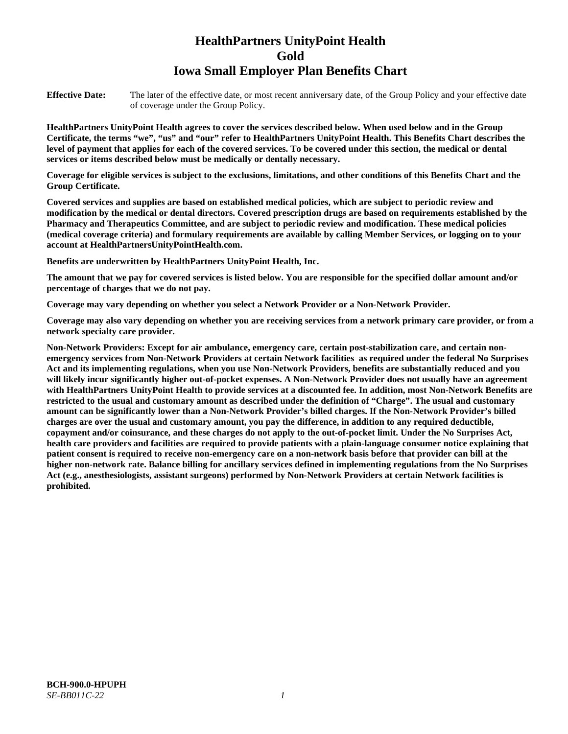# **HealthPartners UnityPoint Health Gold Iowa Small Employer Plan Benefits Chart**

**Effective Date:** The later of the effective date, or most recent anniversary date, of the Group Policy and your effective date of coverage under the Group Policy.

**HealthPartners UnityPoint Health agrees to cover the services described below. When used below and in the Group Certificate, the terms "we", "us" and "our" refer to HealthPartners UnityPoint Health. This Benefits Chart describes the level of payment that applies for each of the covered services. To be covered under this section, the medical or dental services or items described below must be medically or dentally necessary.**

**Coverage for eligible services is subject to the exclusions, limitations, and other conditions of this Benefits Chart and the Group Certificate.** 

**Covered services and supplies are based on established medical policies, which are subject to periodic review and modification by the medical or dental directors. Covered prescription drugs are based on requirements established by the Pharmacy and Therapeutics Committee, and are subject to periodic review and modification. These medical policies (medical coverage criteria) and formulary requirements are available by calling Member Services, or logging on to your account at [HealthPartnersUnityPointHealth.com.](https://www.healthpartnersunitypointhealth.com/)**

**Benefits are underwritten by HealthPartners UnityPoint Health, Inc.**

**The amount that we pay for covered services is listed below. You are responsible for the specified dollar amount and/or percentage of charges that we do not pay.**

**Coverage may vary depending on whether you select a Network Provider or a Non-Network Provider.**

**Coverage may also vary depending on whether you are receiving services from a network primary care provider, or from a network specialty care provider.**

**Non-Network Providers: Except for air ambulance, emergency care, certain post-stabilization care, and certain nonemergency services from Non-Network Providers at certain Network facilities as required under the federal No Surprises Act and its implementing regulations, when you use Non-Network Providers, benefits are substantially reduced and you will likely incur significantly higher out-of-pocket expenses. A Non-Network Provider does not usually have an agreement with HealthPartners UnityPoint Health to provide services at a discounted fee. In addition, most Non-Network Benefits are restricted to the usual and customary amount as described under the definition of "Charge". The usual and customary amount can be significantly lower than a Non-Network Provider's billed charges. If the Non-Network Provider's billed charges are over the usual and customary amount, you pay the difference, in addition to any required deductible, copayment and/or coinsurance, and these charges do not apply to the out-of-pocket limit. Under the No Surprises Act, health care providers and facilities are required to provide patients with a plain-language consumer notice explaining that patient consent is required to receive non-emergency care on a non-network basis before that provider can bill at the higher non-network rate. Balance billing for ancillary services defined in implementing regulations from the No Surprises Act (e.g., anesthesiologists, assistant surgeons) performed by Non-Network Providers at certain Network facilities is prohibited.**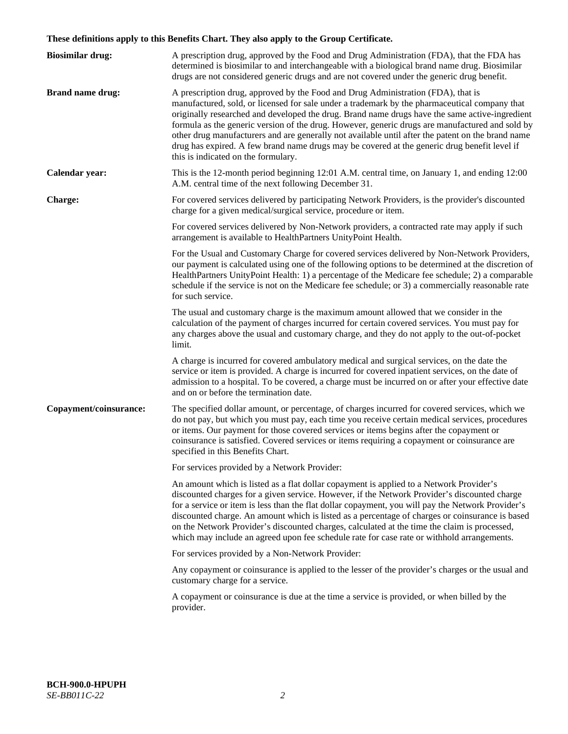# **These definitions apply to this Benefits Chart. They also apply to the Group Certificate.**

| <b>Biosimilar drug:</b> | A prescription drug, approved by the Food and Drug Administration (FDA), that the FDA has<br>determined is biosimilar to and interchangeable with a biological brand name drug. Biosimilar<br>drugs are not considered generic drugs and are not covered under the generic drug benefit.                                                                                                                                                                                                                                                                                                                                           |
|-------------------------|------------------------------------------------------------------------------------------------------------------------------------------------------------------------------------------------------------------------------------------------------------------------------------------------------------------------------------------------------------------------------------------------------------------------------------------------------------------------------------------------------------------------------------------------------------------------------------------------------------------------------------|
| <b>Brand name drug:</b> | A prescription drug, approved by the Food and Drug Administration (FDA), that is<br>manufactured, sold, or licensed for sale under a trademark by the pharmaceutical company that<br>originally researched and developed the drug. Brand name drugs have the same active-ingredient<br>formula as the generic version of the drug. However, generic drugs are manufactured and sold by<br>other drug manufacturers and are generally not available until after the patent on the brand name<br>drug has expired. A few brand name drugs may be covered at the generic drug benefit level if<br>this is indicated on the formulary. |
| Calendar year:          | This is the 12-month period beginning 12:01 A.M. central time, on January 1, and ending 12:00<br>A.M. central time of the next following December 31.                                                                                                                                                                                                                                                                                                                                                                                                                                                                              |
| <b>Charge:</b>          | For covered services delivered by participating Network Providers, is the provider's discounted<br>charge for a given medical/surgical service, procedure or item.                                                                                                                                                                                                                                                                                                                                                                                                                                                                 |
|                         | For covered services delivered by Non-Network providers, a contracted rate may apply if such<br>arrangement is available to HealthPartners UnityPoint Health.                                                                                                                                                                                                                                                                                                                                                                                                                                                                      |
|                         | For the Usual and Customary Charge for covered services delivered by Non-Network Providers,<br>our payment is calculated using one of the following options to be determined at the discretion of<br>HealthPartners UnityPoint Health: 1) a percentage of the Medicare fee schedule; 2) a comparable<br>schedule if the service is not on the Medicare fee schedule; or 3) a commercially reasonable rate<br>for such service.                                                                                                                                                                                                     |
|                         | The usual and customary charge is the maximum amount allowed that we consider in the<br>calculation of the payment of charges incurred for certain covered services. You must pay for<br>any charges above the usual and customary charge, and they do not apply to the out-of-pocket<br>limit.                                                                                                                                                                                                                                                                                                                                    |
|                         | A charge is incurred for covered ambulatory medical and surgical services, on the date the<br>service or item is provided. A charge is incurred for covered inpatient services, on the date of<br>admission to a hospital. To be covered, a charge must be incurred on or after your effective date<br>and on or before the termination date.                                                                                                                                                                                                                                                                                      |
| Copayment/coinsurance:  | The specified dollar amount, or percentage, of charges incurred for covered services, which we<br>do not pay, but which you must pay, each time you receive certain medical services, procedures<br>or items. Our payment for those covered services or items begins after the copayment or<br>coinsurance is satisfied. Covered services or items requiring a copayment or coinsurance are<br>specified in this Benefits Chart.                                                                                                                                                                                                   |
|                         | For services provided by a Network Provider:                                                                                                                                                                                                                                                                                                                                                                                                                                                                                                                                                                                       |
|                         | An amount which is listed as a flat dollar copayment is applied to a Network Provider's<br>discounted charges for a given service. However, if the Network Provider's discounted charge<br>for a service or item is less than the flat dollar copayment, you will pay the Network Provider's<br>discounted charge. An amount which is listed as a percentage of charges or coinsurance is based<br>on the Network Provider's discounted charges, calculated at the time the claim is processed,<br>which may include an agreed upon fee schedule rate for case rate or withhold arrangements.                                      |
|                         | For services provided by a Non-Network Provider:                                                                                                                                                                                                                                                                                                                                                                                                                                                                                                                                                                                   |
|                         | Any copayment or coinsurance is applied to the lesser of the provider's charges or the usual and<br>customary charge for a service.                                                                                                                                                                                                                                                                                                                                                                                                                                                                                                |
|                         | A copayment or coinsurance is due at the time a service is provided, or when billed by the<br>provider.                                                                                                                                                                                                                                                                                                                                                                                                                                                                                                                            |
|                         |                                                                                                                                                                                                                                                                                                                                                                                                                                                                                                                                                                                                                                    |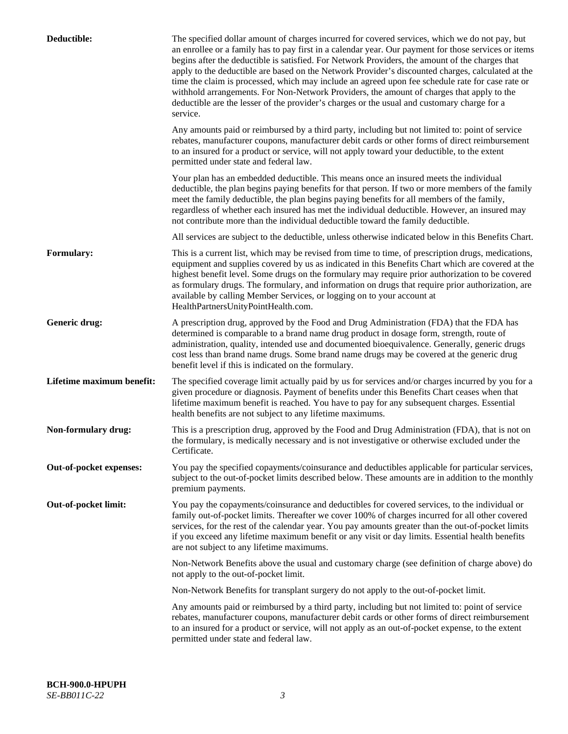| Deductible:               | The specified dollar amount of charges incurred for covered services, which we do not pay, but<br>an enrollee or a family has to pay first in a calendar year. Our payment for those services or items<br>begins after the deductible is satisfied. For Network Providers, the amount of the charges that<br>apply to the deductible are based on the Network Provider's discounted charges, calculated at the<br>time the claim is processed, which may include an agreed upon fee schedule rate for case rate or<br>withhold arrangements. For Non-Network Providers, the amount of charges that apply to the<br>deductible are the lesser of the provider's charges or the usual and customary charge for a<br>service. |
|---------------------------|----------------------------------------------------------------------------------------------------------------------------------------------------------------------------------------------------------------------------------------------------------------------------------------------------------------------------------------------------------------------------------------------------------------------------------------------------------------------------------------------------------------------------------------------------------------------------------------------------------------------------------------------------------------------------------------------------------------------------|
|                           | Any amounts paid or reimbursed by a third party, including but not limited to: point of service<br>rebates, manufacturer coupons, manufacturer debit cards or other forms of direct reimbursement<br>to an insured for a product or service, will not apply toward your deductible, to the extent<br>permitted under state and federal law.                                                                                                                                                                                                                                                                                                                                                                                |
|                           | Your plan has an embedded deductible. This means once an insured meets the individual<br>deductible, the plan begins paying benefits for that person. If two or more members of the family<br>meet the family deductible, the plan begins paying benefits for all members of the family,<br>regardless of whether each insured has met the individual deductible. However, an insured may<br>not contribute more than the individual deductible toward the family deductible.                                                                                                                                                                                                                                              |
|                           | All services are subject to the deductible, unless otherwise indicated below in this Benefits Chart.                                                                                                                                                                                                                                                                                                                                                                                                                                                                                                                                                                                                                       |
| <b>Formulary:</b>         | This is a current list, which may be revised from time to time, of prescription drugs, medications,<br>equipment and supplies covered by us as indicated in this Benefits Chart which are covered at the<br>highest benefit level. Some drugs on the formulary may require prior authorization to be covered<br>as formulary drugs. The formulary, and information on drugs that require prior authorization, are<br>available by calling Member Services, or logging on to your account at<br>HealthPartnersUnityPointHealth.com.                                                                                                                                                                                         |
| Generic drug:             | A prescription drug, approved by the Food and Drug Administration (FDA) that the FDA has<br>determined is comparable to a brand name drug product in dosage form, strength, route of<br>administration, quality, intended use and documented bioequivalence. Generally, generic drugs<br>cost less than brand name drugs. Some brand name drugs may be covered at the generic drug<br>benefit level if this is indicated on the formulary.                                                                                                                                                                                                                                                                                 |
| Lifetime maximum benefit: | The specified coverage limit actually paid by us for services and/or charges incurred by you for a<br>given procedure or diagnosis. Payment of benefits under this Benefits Chart ceases when that<br>lifetime maximum benefit is reached. You have to pay for any subsequent charges. Essential<br>health benefits are not subject to any lifetime maximums.                                                                                                                                                                                                                                                                                                                                                              |
| Non-formulary drug:       | This is a prescription drug, approved by the Food and Drug Administration (FDA), that is not on<br>the formulary, is medically necessary and is not investigative or otherwise excluded under the<br>Certificate.                                                                                                                                                                                                                                                                                                                                                                                                                                                                                                          |
| Out-of-pocket expenses:   | You pay the specified copayments/coinsurance and deductibles applicable for particular services,<br>subject to the out-of-pocket limits described below. These amounts are in addition to the monthly<br>premium payments.                                                                                                                                                                                                                                                                                                                                                                                                                                                                                                 |
| Out-of-pocket limit:      | You pay the copayments/coinsurance and deductibles for covered services, to the individual or<br>family out-of-pocket limits. Thereafter we cover 100% of charges incurred for all other covered<br>services, for the rest of the calendar year. You pay amounts greater than the out-of-pocket limits<br>if you exceed any lifetime maximum benefit or any visit or day limits. Essential health benefits<br>are not subject to any lifetime maximums.                                                                                                                                                                                                                                                                    |
|                           | Non-Network Benefits above the usual and customary charge (see definition of charge above) do<br>not apply to the out-of-pocket limit.                                                                                                                                                                                                                                                                                                                                                                                                                                                                                                                                                                                     |
|                           | Non-Network Benefits for transplant surgery do not apply to the out-of-pocket limit.                                                                                                                                                                                                                                                                                                                                                                                                                                                                                                                                                                                                                                       |
|                           | Any amounts paid or reimbursed by a third party, including but not limited to: point of service<br>rebates, manufacturer coupons, manufacturer debit cards or other forms of direct reimbursement<br>to an insured for a product or service, will not apply as an out-of-pocket expense, to the extent<br>permitted under state and federal law.                                                                                                                                                                                                                                                                                                                                                                           |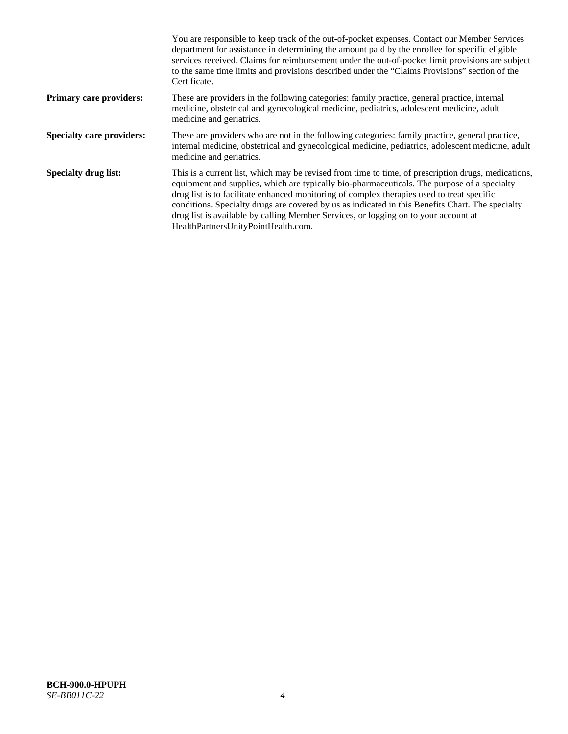|                                  | You are responsible to keep track of the out-of-pocket expenses. Contact our Member Services<br>department for assistance in determining the amount paid by the enrollee for specific eligible<br>services received. Claims for reimbursement under the out-of-pocket limit provisions are subject<br>to the same time limits and provisions described under the "Claims Provisions" section of the<br>Certificate.                                                                                                                |
|----------------------------------|------------------------------------------------------------------------------------------------------------------------------------------------------------------------------------------------------------------------------------------------------------------------------------------------------------------------------------------------------------------------------------------------------------------------------------------------------------------------------------------------------------------------------------|
| <b>Primary care providers:</b>   | These are providers in the following categories: family practice, general practice, internal<br>medicine, obstetrical and gynecological medicine, pediatrics, adolescent medicine, adult<br>medicine and geriatrics.                                                                                                                                                                                                                                                                                                               |
| <b>Specialty care providers:</b> | These are providers who are not in the following categories: family practice, general practice,<br>internal medicine, obstetrical and gynecological medicine, pediatrics, adolescent medicine, adult<br>medicine and geriatrics.                                                                                                                                                                                                                                                                                                   |
| <b>Specialty drug list:</b>      | This is a current list, which may be revised from time to time, of prescription drugs, medications,<br>equipment and supplies, which are typically bio-pharmaceuticals. The purpose of a specialty<br>drug list is to facilitate enhanced monitoring of complex therapies used to treat specific<br>conditions. Specialty drugs are covered by us as indicated in this Benefits Chart. The specialty<br>drug list is available by calling Member Services, or logging on to your account at<br>HealthPartnersUnityPointHealth.com. |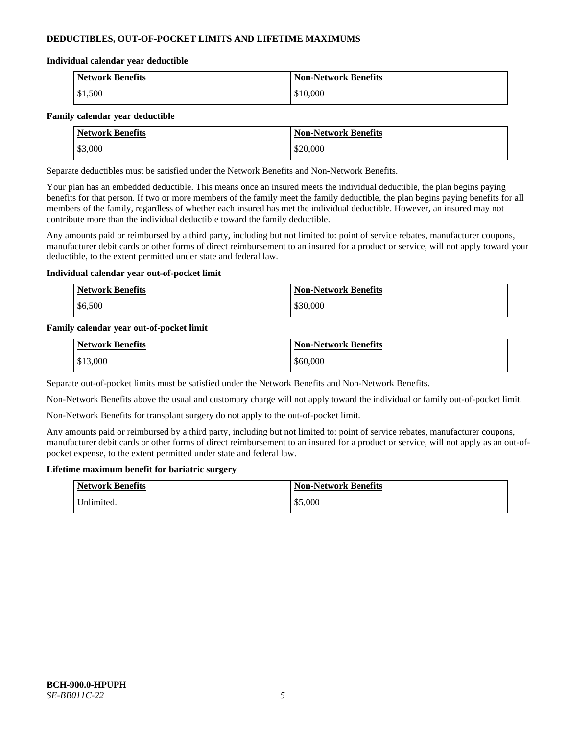## **DEDUCTIBLES, OUT-OF-POCKET LIMITS AND LIFETIME MAXIMUMS**

#### **Individual calendar year deductible**

| <b>Network Benefits</b> | <b>Non-Network Benefits</b> |
|-------------------------|-----------------------------|
| \$1,500                 | \$10,000                    |

#### **Family calendar year deductible**

| <b>Network Benefits</b> | <b>Non-Network Benefits</b> |
|-------------------------|-----------------------------|
| \$3,000                 | \$20,000                    |

Separate deductibles must be satisfied under the Network Benefits and Non-Network Benefits.

Your plan has an embedded deductible. This means once an insured meets the individual deductible, the plan begins paying benefits for that person. If two or more members of the family meet the family deductible, the plan begins paying benefits for all members of the family, regardless of whether each insured has met the individual deductible. However, an insured may not contribute more than the individual deductible toward the family deductible.

Any amounts paid or reimbursed by a third party, including but not limited to: point of service rebates, manufacturer coupons, manufacturer debit cards or other forms of direct reimbursement to an insured for a product or service, will not apply toward your deductible, to the extent permitted under state and federal law.

### **Individual calendar year out-of-pocket limit**

| <b>Network Benefits</b> | <b>Non-Network Benefits</b> |
|-------------------------|-----------------------------|
| \$6,500                 | \$30,000                    |

### **Family calendar year out-of-pocket limit**

| <b>Network Benefits</b> | <b>Non-Network Benefits</b> |
|-------------------------|-----------------------------|
| \$13,000                | \$60,000                    |

Separate out-of-pocket limits must be satisfied under the Network Benefits and Non-Network Benefits.

Non-Network Benefits above the usual and customary charge will not apply toward the individual or family out-of-pocket limit.

Non-Network Benefits for transplant surgery do not apply to the out-of-pocket limit.

Any amounts paid or reimbursed by a third party, including but not limited to: point of service rebates, manufacturer coupons, manufacturer debit cards or other forms of direct reimbursement to an insured for a product or service, will not apply as an out-ofpocket expense, to the extent permitted under state and federal law.

#### **Lifetime maximum benefit for bariatric surgery**

| <b>Network Benefits</b> | <b>Non-Network Benefits</b> |
|-------------------------|-----------------------------|
| "Jnlimited.             | \$5,000                     |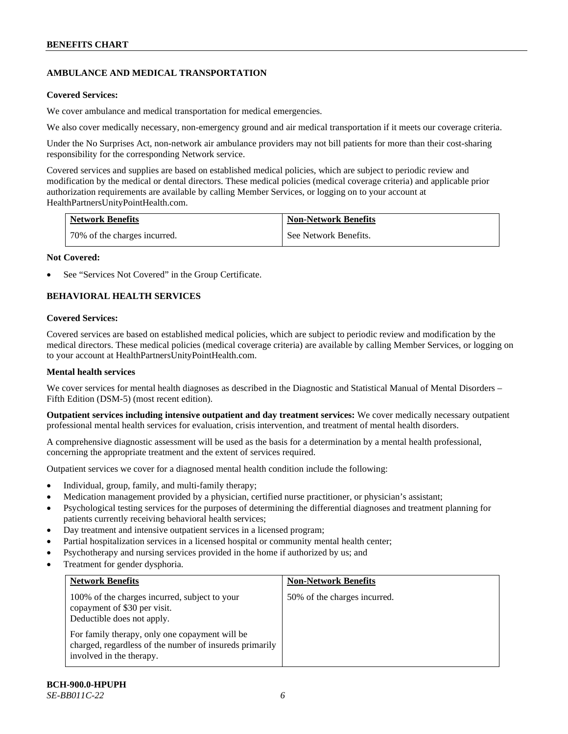# **AMBULANCE AND MEDICAL TRANSPORTATION**

### **Covered Services:**

We cover ambulance and medical transportation for medical emergencies.

We also cover medically necessary, non-emergency ground and air medical transportation if it meets our coverage criteria.

Under the No Surprises Act, non-network air ambulance providers may not bill patients for more than their cost-sharing responsibility for the corresponding Network service.

Covered services and supplies are based on established medical policies, which are subject to periodic review and modification by the medical or dental directors. These medical policies (medical coverage criteria) and applicable prior authorization requirements are available by calling Member Services, or logging on to your account at [HealthPartnersUnityPointHealth.com.](https://www.healthpartnersunitypointhealth.com/)

| <b>Network Benefits</b>      | <b>Non-Network Benefits</b> |
|------------------------------|-----------------------------|
| 70% of the charges incurred. | See Network Benefits.       |

### **Not Covered:**

See "Services Not Covered" in the Group Certificate.

# **BEHAVIORAL HEALTH SERVICES**

### **Covered Services:**

Covered services are based on established medical policies, which are subject to periodic review and modification by the medical directors. These medical policies (medical coverage criteria) are available by calling Member Services, or logging on to your account at [HealthPartnersUnityPointHealth.com.](https://www.healthpartnersunitypointhealth.com/)

### **Mental health services**

We cover services for mental health diagnoses as described in the Diagnostic and Statistical Manual of Mental Disorders – Fifth Edition (DSM-5) (most recent edition).

**Outpatient services including intensive outpatient and day treatment services:** We cover medically necessary outpatient professional mental health services for evaluation, crisis intervention, and treatment of mental health disorders.

A comprehensive diagnostic assessment will be used as the basis for a determination by a mental health professional, concerning the appropriate treatment and the extent of services required.

Outpatient services we cover for a diagnosed mental health condition include the following:

- Individual, group, family, and multi-family therapy;
- Medication management provided by a physician, certified nurse practitioner, or physician's assistant;
- Psychological testing services for the purposes of determining the differential diagnoses and treatment planning for patients currently receiving behavioral health services;
- Day treatment and intensive outpatient services in a licensed program;
- Partial hospitalization services in a licensed hospital or community mental health center;
- Psychotherapy and nursing services provided in the home if authorized by us; and
- Treatment for gender dysphoria.

| <b>Network Benefits</b>                                                                                                               | <b>Non-Network Benefits</b>  |
|---------------------------------------------------------------------------------------------------------------------------------------|------------------------------|
| 100% of the charges incurred, subject to your<br>copayment of \$30 per visit.<br>Deductible does not apply.                           | 50% of the charges incurred. |
| For family therapy, only one copayment will be<br>charged, regardless of the number of insureds primarily<br>involved in the therapy. |                              |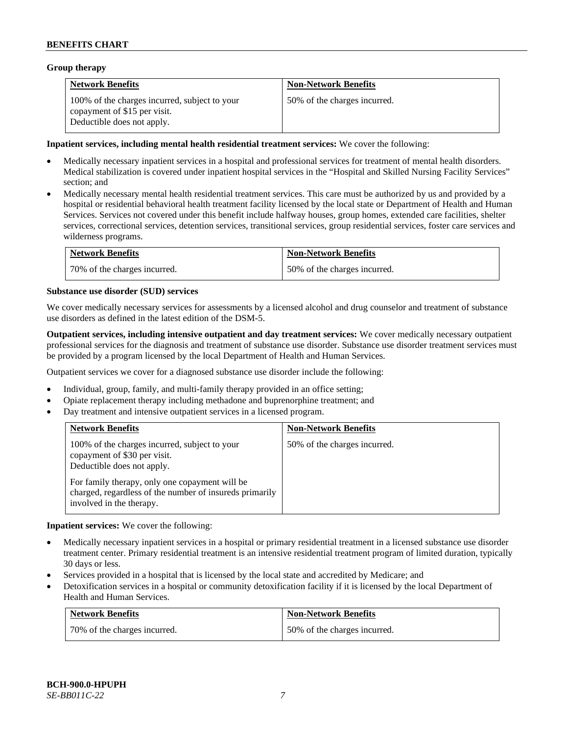### **Group therapy**

| <b>Network Benefits</b>                                                                                     | <b>Non-Network Benefits</b>  |
|-------------------------------------------------------------------------------------------------------------|------------------------------|
| 100% of the charges incurred, subject to your<br>copayment of \$15 per visit.<br>Deductible does not apply. | 50% of the charges incurred. |

### **Inpatient services, including mental health residential treatment services:** We cover the following:

- Medically necessary inpatient services in a hospital and professional services for treatment of mental health disorders. Medical stabilization is covered under inpatient hospital services in the "Hospital and Skilled Nursing Facility Services" section; and
- Medically necessary mental health residential treatment services. This care must be authorized by us and provided by a hospital or residential behavioral health treatment facility licensed by the local state or Department of Health and Human Services. Services not covered under this benefit include halfway houses, group homes, extended care facilities, shelter services, correctional services, detention services, transitional services, group residential services, foster care services and wilderness programs.

| <b>Network Benefits</b>      | <b>Non-Network Benefits</b>  |
|------------------------------|------------------------------|
| 70% of the charges incurred. | 50% of the charges incurred. |

### **Substance use disorder (SUD) services**

We cover medically necessary services for assessments by a licensed alcohol and drug counselor and treatment of substance use disorders as defined in the latest edition of the DSM-5.

**Outpatient services, including intensive outpatient and day treatment services:** We cover medically necessary outpatient professional services for the diagnosis and treatment of substance use disorder. Substance use disorder treatment services must be provided by a program licensed by the local Department of Health and Human Services.

Outpatient services we cover for a diagnosed substance use disorder include the following:

- Individual, group, family, and multi-family therapy provided in an office setting;
- Opiate replacement therapy including methadone and buprenorphine treatment; and
- Day treatment and intensive outpatient services in a licensed program.

| <b>Network Benefits</b>                                                                                                                                                                                                                              | <b>Non-Network Benefits</b>  |
|------------------------------------------------------------------------------------------------------------------------------------------------------------------------------------------------------------------------------------------------------|------------------------------|
| 100% of the charges incurred, subject to your<br>copayment of \$30 per visit.<br>Deductible does not apply.<br>For family therapy, only one copayment will be<br>charged, regardless of the number of insureds primarily<br>involved in the therapy. | 50% of the charges incurred. |

**Inpatient services:** We cover the following:

- Medically necessary inpatient services in a hospital or primary residential treatment in a licensed substance use disorder treatment center. Primary residential treatment is an intensive residential treatment program of limited duration, typically 30 days or less.
- Services provided in a hospital that is licensed by the local state and accredited by Medicare; and
- Detoxification services in a hospital or community detoxification facility if it is licensed by the local Department of Health and Human Services.

| <b>Network Benefits</b>      | <b>Non-Network Benefits</b>  |
|------------------------------|------------------------------|
| 70% of the charges incurred. | 50% of the charges incurred. |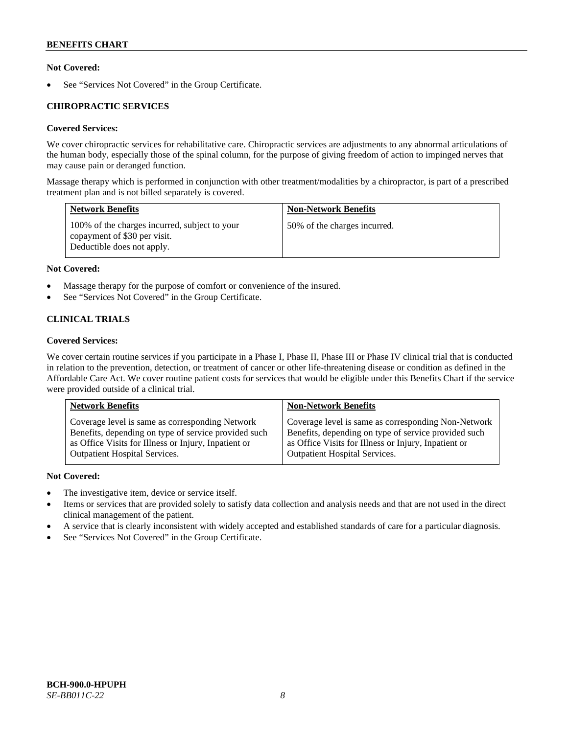### **Not Covered:**

See "Services Not Covered" in the Group Certificate.

### **CHIROPRACTIC SERVICES**

### **Covered Services:**

We cover chiropractic services for rehabilitative care. Chiropractic services are adjustments to any abnormal articulations of the human body, especially those of the spinal column, for the purpose of giving freedom of action to impinged nerves that may cause pain or deranged function.

Massage therapy which is performed in conjunction with other treatment/modalities by a chiropractor, is part of a prescribed treatment plan and is not billed separately is covered.

| <b>Network Benefits</b>                                                                                     | <b>Non-Network Benefits</b>  |
|-------------------------------------------------------------------------------------------------------------|------------------------------|
| 100% of the charges incurred, subject to your<br>copayment of \$30 per visit.<br>Deductible does not apply. | 50% of the charges incurred. |

### **Not Covered:**

- Massage therapy for the purpose of comfort or convenience of the insured.
- See "Services Not Covered" in the Group Certificate.

# **CLINICAL TRIALS**

### **Covered Services:**

We cover certain routine services if you participate in a Phase I, Phase II, Phase III or Phase IV clinical trial that is conducted in relation to the prevention, detection, or treatment of cancer or other life-threatening disease or condition as defined in the Affordable Care Act. We cover routine patient costs for services that would be eligible under this Benefits Chart if the service were provided outside of a clinical trial.

| <b>Network Benefits</b>                              | <b>Non-Network Benefits</b>                          |
|------------------------------------------------------|------------------------------------------------------|
| Coverage level is same as corresponding Network      | Coverage level is same as corresponding Non-Network  |
| Benefits, depending on type of service provided such | Benefits, depending on type of service provided such |
| as Office Visits for Illness or Injury, Inpatient or | as Office Visits for Illness or Injury, Inpatient or |
| <b>Outpatient Hospital Services.</b>                 | <b>Outpatient Hospital Services.</b>                 |

### **Not Covered:**

- The investigative item, device or service itself.
- Items or services that are provided solely to satisfy data collection and analysis needs and that are not used in the direct clinical management of the patient.
- A service that is clearly inconsistent with widely accepted and established standards of care for a particular diagnosis.
- See "Services Not Covered" in the Group Certificate.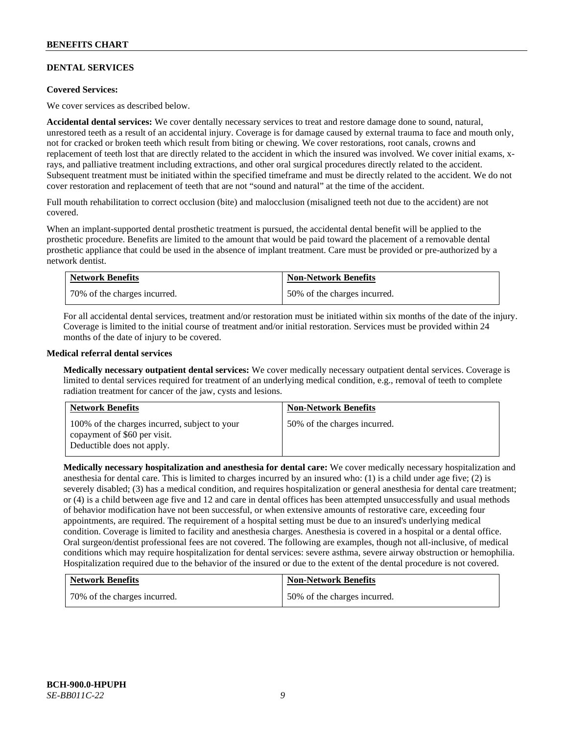### **DENTAL SERVICES**

### **Covered Services:**

We cover services as described below.

**Accidental dental services:** We cover dentally necessary services to treat and restore damage done to sound, natural, unrestored teeth as a result of an accidental injury. Coverage is for damage caused by external trauma to face and mouth only, not for cracked or broken teeth which result from biting or chewing. We cover restorations, root canals, crowns and replacement of teeth lost that are directly related to the accident in which the insured was involved. We cover initial exams, xrays, and palliative treatment including extractions, and other oral surgical procedures directly related to the accident. Subsequent treatment must be initiated within the specified timeframe and must be directly related to the accident. We do not cover restoration and replacement of teeth that are not "sound and natural" at the time of the accident.

Full mouth rehabilitation to correct occlusion (bite) and malocclusion (misaligned teeth not due to the accident) are not covered.

When an implant-supported dental prosthetic treatment is pursued, the accidental dental benefit will be applied to the prosthetic procedure. Benefits are limited to the amount that would be paid toward the placement of a removable dental prosthetic appliance that could be used in the absence of implant treatment. Care must be provided or pre-authorized by a network dentist.

| <b>Network Benefits</b>      | <b>Non-Network Benefits</b>  |
|------------------------------|------------------------------|
| 70% of the charges incurred. | 50% of the charges incurred. |

For all accidental dental services, treatment and/or restoration must be initiated within six months of the date of the injury. Coverage is limited to the initial course of treatment and/or initial restoration. Services must be provided within 24 months of the date of injury to be covered.

### **Medical referral dental services**

**Medically necessary outpatient dental services:** We cover medically necessary outpatient dental services. Coverage is limited to dental services required for treatment of an underlying medical condition, e.g., removal of teeth to complete radiation treatment for cancer of the jaw, cysts and lesions.

| <b>Network Benefits</b>                                                                                     | <b>Non-Network Benefits</b>  |
|-------------------------------------------------------------------------------------------------------------|------------------------------|
| 100% of the charges incurred, subject to your<br>copayment of \$60 per visit.<br>Deductible does not apply. | 50% of the charges incurred. |

**Medically necessary hospitalization and anesthesia for dental care:** We cover medically necessary hospitalization and anesthesia for dental care. This is limited to charges incurred by an insured who: (1) is a child under age five; (2) is severely disabled; (3) has a medical condition, and requires hospitalization or general anesthesia for dental care treatment; or (4) is a child between age five and 12 and care in dental offices has been attempted unsuccessfully and usual methods of behavior modification have not been successful, or when extensive amounts of restorative care, exceeding four appointments, are required. The requirement of a hospital setting must be due to an insured's underlying medical condition. Coverage is limited to facility and anesthesia charges. Anesthesia is covered in a hospital or a dental office. Oral surgeon/dentist professional fees are not covered. The following are examples, though not all-inclusive, of medical conditions which may require hospitalization for dental services: severe asthma, severe airway obstruction or hemophilia. Hospitalization required due to the behavior of the insured or due to the extent of the dental procedure is not covered.

| <b>Network Benefits</b>      | <b>Non-Network Benefits</b>  |
|------------------------------|------------------------------|
| 70% of the charges incurred. | 50% of the charges incurred. |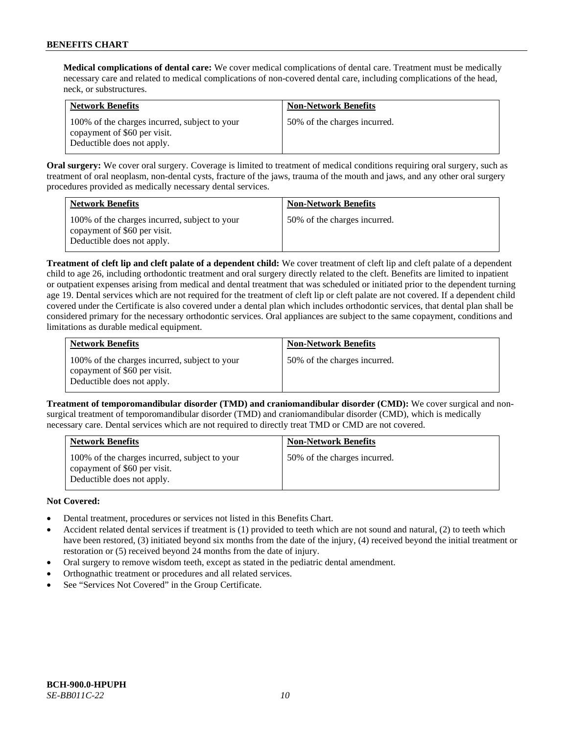**Medical complications of dental care:** We cover medical complications of dental care. Treatment must be medically necessary care and related to medical complications of non-covered dental care, including complications of the head, neck, or substructures.

| <b>Network Benefits</b>                                                                                     | <b>Non-Network Benefits</b>  |
|-------------------------------------------------------------------------------------------------------------|------------------------------|
| 100% of the charges incurred, subject to your<br>copayment of \$60 per visit.<br>Deductible does not apply. | 50% of the charges incurred. |

**Oral surgery:** We cover oral surgery. Coverage is limited to treatment of medical conditions requiring oral surgery, such as treatment of oral neoplasm, non-dental cysts, fracture of the jaws, trauma of the mouth and jaws, and any other oral surgery procedures provided as medically necessary dental services.

| <b>Network Benefits</b>                                                                                     | <b>Non-Network Benefits</b>  |
|-------------------------------------------------------------------------------------------------------------|------------------------------|
| 100% of the charges incurred, subject to your<br>copayment of \$60 per visit.<br>Deductible does not apply. | 50% of the charges incurred. |

**Treatment of cleft lip and cleft palate of a dependent child:** We cover treatment of cleft lip and cleft palate of a dependent child to age 26, including orthodontic treatment and oral surgery directly related to the cleft. Benefits are limited to inpatient or outpatient expenses arising from medical and dental treatment that was scheduled or initiated prior to the dependent turning age 19. Dental services which are not required for the treatment of cleft lip or cleft palate are not covered. If a dependent child covered under the Certificate is also covered under a dental plan which includes orthodontic services, that dental plan shall be considered primary for the necessary orthodontic services. Oral appliances are subject to the same copayment, conditions and limitations as durable medical equipment.

| <b>Network Benefits</b>                                                                                     | <b>Non-Network Benefits</b>  |
|-------------------------------------------------------------------------------------------------------------|------------------------------|
| 100% of the charges incurred, subject to your<br>copayment of \$60 per visit.<br>Deductible does not apply. | 50% of the charges incurred. |

**Treatment of temporomandibular disorder (TMD) and craniomandibular disorder (CMD):** We cover surgical and nonsurgical treatment of temporomandibular disorder (TMD) and craniomandibular disorder (CMD), which is medically necessary care. Dental services which are not required to directly treat TMD or CMD are not covered.

| <b>Network Benefits</b>                                                                                     | <b>Non-Network Benefits</b>  |
|-------------------------------------------------------------------------------------------------------------|------------------------------|
| 100% of the charges incurred, subject to your<br>copayment of \$60 per visit.<br>Deductible does not apply. | 50% of the charges incurred. |

### **Not Covered:**

- Dental treatment, procedures or services not listed in this Benefits Chart.
- Accident related dental services if treatment is (1) provided to teeth which are not sound and natural, (2) to teeth which have been restored, (3) initiated beyond six months from the date of the injury, (4) received beyond the initial treatment or restoration or (5) received beyond 24 months from the date of injury.
- Oral surgery to remove wisdom teeth, except as stated in the pediatric dental amendment.
- Orthognathic treatment or procedures and all related services.
- See "Services Not Covered" in the Group Certificate.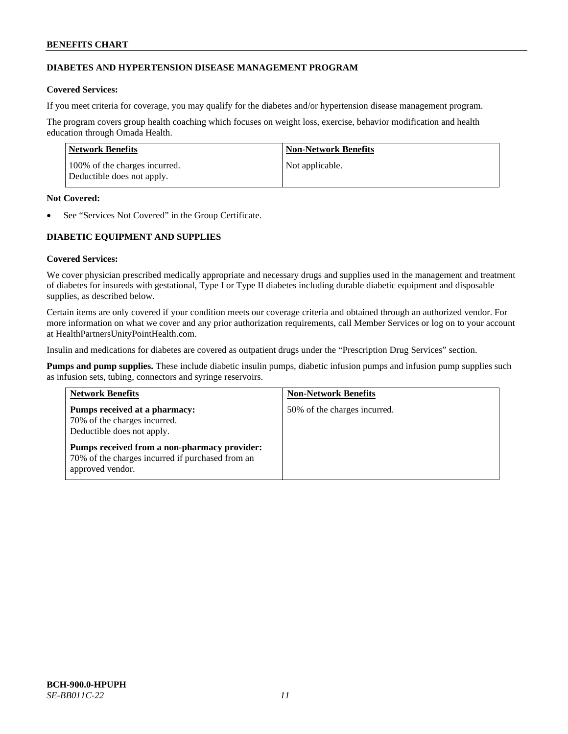### **DIABETES AND HYPERTENSION DISEASE MANAGEMENT PROGRAM**

### **Covered Services:**

If you meet criteria for coverage, you may qualify for the diabetes and/or hypertension disease management program.

The program covers group health coaching which focuses on weight loss, exercise, behavior modification and health education through Omada Health.

| Network Benefits                                            | Non-Network Benefits |
|-------------------------------------------------------------|----------------------|
| 100% of the charges incurred.<br>Deductible does not apply. | Not applicable.      |

### **Not Covered:**

See "Services Not Covered" in the Group Certificate.

# **DIABETIC EQUIPMENT AND SUPPLIES**

### **Covered Services:**

We cover physician prescribed medically appropriate and necessary drugs and supplies used in the management and treatment of diabetes for insureds with gestational, Type I or Type II diabetes including durable diabetic equipment and disposable supplies, as described below.

Certain items are only covered if your condition meets our coverage criteria and obtained through an authorized vendor. For more information on what we cover and any prior authorization requirements, call Member Services or log on to your account at [HealthPartnersUnityPointHealth.com.](https://www.healthpartnersunitypointhealth.com/)

Insulin and medications for diabetes are covered as outpatient drugs under the "Prescription Drug Services" section.

**Pumps and pump supplies.** These include diabetic insulin pumps, diabetic infusion pumps and infusion pump supplies such as infusion sets, tubing, connectors and syringe reservoirs.

| <b>Network Benefits</b>                                                                                              | <b>Non-Network Benefits</b>  |
|----------------------------------------------------------------------------------------------------------------------|------------------------------|
| Pumps received at a pharmacy:<br>70% of the charges incurred.<br>Deductible does not apply.                          | 50% of the charges incurred. |
| Pumps received from a non-pharmacy provider:<br>70% of the charges incurred if purchased from an<br>approved vendor. |                              |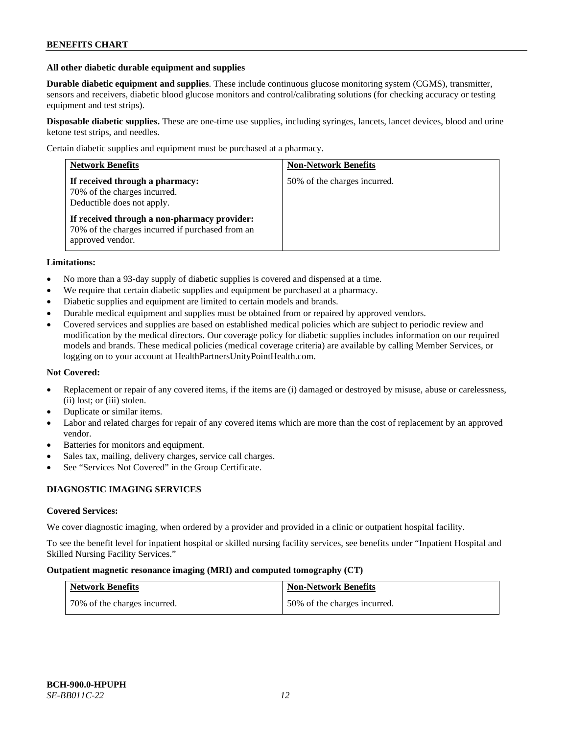#### **All other diabetic durable equipment and supplies**

**Durable diabetic equipment and supplies**. These include continuous glucose monitoring system (CGMS), transmitter, sensors and receivers, diabetic blood glucose monitors and control/calibrating solutions (for checking accuracy or testing equipment and test strips).

**Disposable diabetic supplies.** These are one-time use supplies, including syringes, lancets, lancet devices, blood and urine ketone test strips, and needles.

Certain diabetic supplies and equipment must be purchased at a pharmacy.

| <b>Network Benefits</b>                                                                                              | <b>Non-Network Benefits</b>  |
|----------------------------------------------------------------------------------------------------------------------|------------------------------|
| If received through a pharmacy:<br>70% of the charges incurred.<br>Deductible does not apply.                        | 50% of the charges incurred. |
| If received through a non-pharmacy provider:<br>70% of the charges incurred if purchased from an<br>approved vendor. |                              |

### **Limitations:**

- No more than a 93-day supply of diabetic supplies is covered and dispensed at a time.
- We require that certain diabetic supplies and equipment be purchased at a pharmacy.
- Diabetic supplies and equipment are limited to certain models and brands.
- Durable medical equipment and supplies must be obtained from or repaired by approved vendors.
- Covered services and supplies are based on established medical policies which are subject to periodic review and modification by the medical directors. Our coverage policy for diabetic supplies includes information on our required models and brands. These medical policies (medical coverage criteria) are available by calling Member Services, or logging on to your account a[t HealthPartnersUnityPointHealth.com.](https://www.healthpartnersunitypointhealth.com/)

### **Not Covered:**

- Replacement or repair of any covered items, if the items are (i) damaged or destroyed by misuse, abuse or carelessness, (ii) lost; or (iii) stolen.
- Duplicate or similar items.
- Labor and related charges for repair of any covered items which are more than the cost of replacement by an approved vendor.
- Batteries for monitors and equipment.
- Sales tax, mailing, delivery charges, service call charges.
- See "Services Not Covered" in the Group Certificate.

### **DIAGNOSTIC IMAGING SERVICES**

#### **Covered Services:**

We cover diagnostic imaging, when ordered by a provider and provided in a clinic or outpatient hospital facility.

To see the benefit level for inpatient hospital or skilled nursing facility services, see benefits under "Inpatient Hospital and Skilled Nursing Facility Services."

### **Outpatient magnetic resonance imaging (MRI) and computed tomography (CT)**

| <b>Network Benefits</b>      | <b>Non-Network Benefits</b>  |
|------------------------------|------------------------------|
| 70% of the charges incurred. | 50% of the charges incurred. |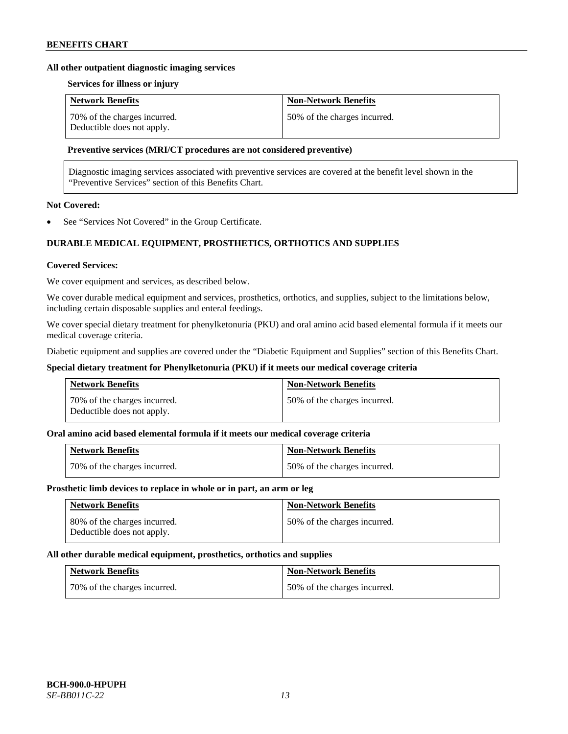#### **All other outpatient diagnostic imaging services**

#### **Services for illness or injury**

| <b>Network Benefits</b>                                    | <b>Non-Network Benefits</b>  |
|------------------------------------------------------------|------------------------------|
| 70% of the charges incurred.<br>Deductible does not apply. | 50% of the charges incurred. |

### **Preventive services (MRI/CT procedures are not considered preventive)**

Diagnostic imaging services associated with preventive services are covered at the benefit level shown in the "Preventive Services" section of this Benefits Chart.

# **Not Covered:**

See "Services Not Covered" in the Group Certificate.

# **DURABLE MEDICAL EQUIPMENT, PROSTHETICS, ORTHOTICS AND SUPPLIES**

#### **Covered Services:**

We cover equipment and services, as described below.

We cover durable medical equipment and services, prosthetics, orthotics, and supplies, subject to the limitations below, including certain disposable supplies and enteral feedings.

We cover special dietary treatment for phenylketonuria (PKU) and oral amino acid based elemental formula if it meets our medical coverage criteria.

Diabetic equipment and supplies are covered under the "Diabetic Equipment and Supplies" section of this Benefits Chart.

### **Special dietary treatment for Phenylketonuria (PKU) if it meets our medical coverage criteria**

| <b>Network Benefits</b>                                    | <b>Non-Network Benefits</b>  |
|------------------------------------------------------------|------------------------------|
| 70% of the charges incurred.<br>Deductible does not apply. | 50% of the charges incurred. |

### **Oral amino acid based elemental formula if it meets our medical coverage criteria**

| <b>Network Benefits</b>        | <b>Non-Network Benefits</b>  |
|--------------------------------|------------------------------|
| 1 70% of the charges incurred. | 50% of the charges incurred. |

### **Prosthetic limb devices to replace in whole or in part, an arm or leg**

| <b>Network Benefits</b>                                    | <b>Non-Network Benefits</b>  |
|------------------------------------------------------------|------------------------------|
| 80% of the charges incurred.<br>Deductible does not apply. | 50% of the charges incurred. |

#### **All other durable medical equipment, prosthetics, orthotics and supplies**

| <b>Network Benefits</b>      | <b>Non-Network Benefits</b>  |
|------------------------------|------------------------------|
| 70% of the charges incurred. | 50% of the charges incurred. |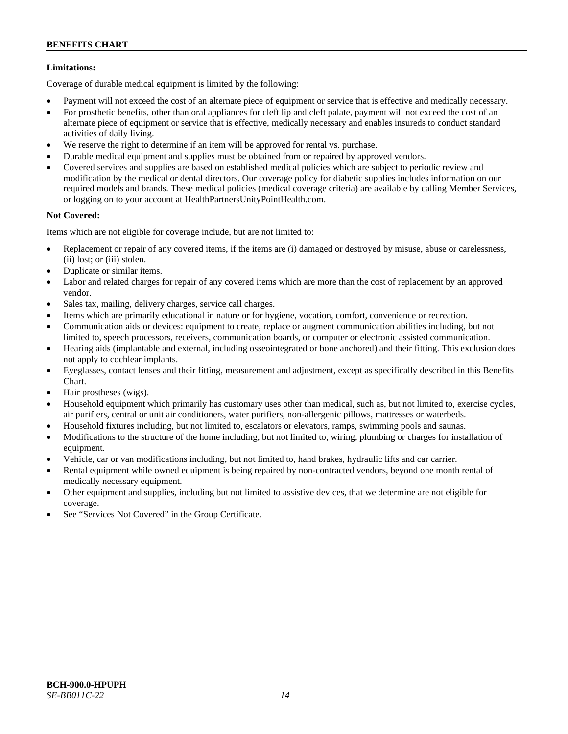### **Limitations:**

Coverage of durable medical equipment is limited by the following:

- Payment will not exceed the cost of an alternate piece of equipment or service that is effective and medically necessary.
- For prosthetic benefits, other than oral appliances for cleft lip and cleft palate, payment will not exceed the cost of an alternate piece of equipment or service that is effective, medically necessary and enables insureds to conduct standard activities of daily living.
- We reserve the right to determine if an item will be approved for rental vs. purchase.
- Durable medical equipment and supplies must be obtained from or repaired by approved vendors.
- Covered services and supplies are based on established medical policies which are subject to periodic review and modification by the medical or dental directors. Our coverage policy for diabetic supplies includes information on our required models and brands. These medical policies (medical coverage criteria) are available by calling Member Services, or logging on to your account at [HealthPartnersUnityPointHealth.com.](https://www.healthpartnersunitypointhealth.com/)

### **Not Covered:**

Items which are not eligible for coverage include, but are not limited to:

- Replacement or repair of any covered items, if the items are (i) damaged or destroyed by misuse, abuse or carelessness, (ii) lost; or (iii) stolen.
- Duplicate or similar items.
- Labor and related charges for repair of any covered items which are more than the cost of replacement by an approved vendor.
- Sales tax, mailing, delivery charges, service call charges.
- Items which are primarily educational in nature or for hygiene, vocation, comfort, convenience or recreation.
- Communication aids or devices: equipment to create, replace or augment communication abilities including, but not limited to, speech processors, receivers, communication boards, or computer or electronic assisted communication.
- Hearing aids (implantable and external, including osseointegrated or bone anchored) and their fitting. This exclusion does not apply to cochlear implants.
- Eyeglasses, contact lenses and their fitting, measurement and adjustment, except as specifically described in this Benefits Chart.
- Hair prostheses (wigs).
- Household equipment which primarily has customary uses other than medical, such as, but not limited to, exercise cycles, air purifiers, central or unit air conditioners, water purifiers, non-allergenic pillows, mattresses or waterbeds.
- Household fixtures including, but not limited to, escalators or elevators, ramps, swimming pools and saunas.
- Modifications to the structure of the home including, but not limited to, wiring, plumbing or charges for installation of equipment.
- Vehicle, car or van modifications including, but not limited to, hand brakes, hydraulic lifts and car carrier.
- Rental equipment while owned equipment is being repaired by non-contracted vendors, beyond one month rental of medically necessary equipment.
- Other equipment and supplies, including but not limited to assistive devices, that we determine are not eligible for coverage.
- See "Services Not Covered" in the Group Certificate.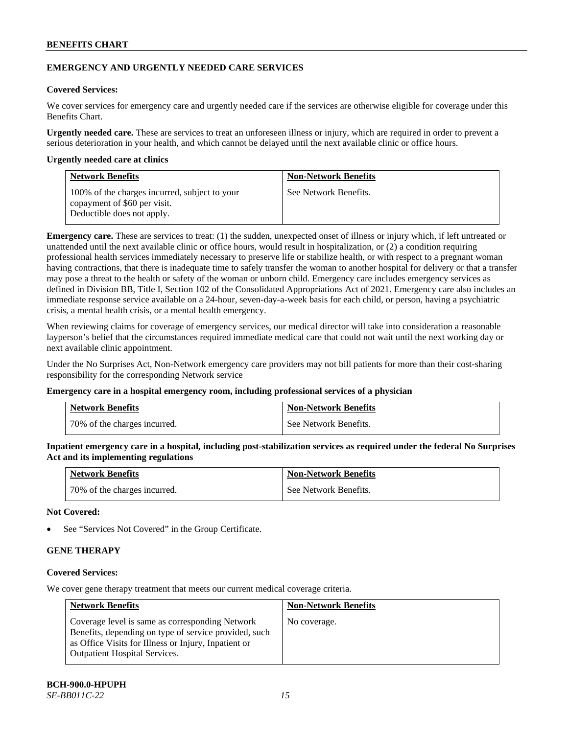### **EMERGENCY AND URGENTLY NEEDED CARE SERVICES**

### **Covered Services:**

We cover services for emergency care and urgently needed care if the services are otherwise eligible for coverage under this Benefits Chart.

**Urgently needed care.** These are services to treat an unforeseen illness or injury, which are required in order to prevent a serious deterioration in your health, and which cannot be delayed until the next available clinic or office hours.

#### **Urgently needed care at clinics**

| <b>Network Benefits</b>                                                                                     | <b>Non-Network Benefits</b> |
|-------------------------------------------------------------------------------------------------------------|-----------------------------|
| 100% of the charges incurred, subject to your<br>copayment of \$60 per visit.<br>Deductible does not apply. | See Network Benefits.       |

**Emergency care.** These are services to treat: (1) the sudden, unexpected onset of illness or injury which, if left untreated or unattended until the next available clinic or office hours, would result in hospitalization, or (2) a condition requiring professional health services immediately necessary to preserve life or stabilize health, or with respect to a pregnant woman having contractions, that there is inadequate time to safely transfer the woman to another hospital for delivery or that a transfer may pose a threat to the health or safety of the woman or unborn child. Emergency care includes emergency services as defined in Division BB, Title I, Section 102 of the Consolidated Appropriations Act of 2021. Emergency care also includes an immediate response service available on a 24-hour, seven-day-a-week basis for each child, or person, having a psychiatric crisis, a mental health crisis, or a mental health emergency.

When reviewing claims for coverage of emergency services, our medical director will take into consideration a reasonable layperson's belief that the circumstances required immediate medical care that could not wait until the next working day or next available clinic appointment.

Under the No Surprises Act, Non-Network emergency care providers may not bill patients for more than their cost-sharing responsibility for the corresponding Network service

#### **Emergency care in a hospital emergency room, including professional services of a physician**

| <b>Network Benefits</b>      | <b>Non-Network Benefits</b> |
|------------------------------|-----------------------------|
| 70% of the charges incurred. | See Network Benefits.       |

**Inpatient emergency care in a hospital, including post-stabilization services as required under the federal No Surprises Act and its implementing regulations**

| <b>Network Benefits</b>      | <b>Non-Network Benefits</b> |
|------------------------------|-----------------------------|
| 70% of the charges incurred. | See Network Benefits.       |

### **Not Covered:**

See "Services Not Covered" in the Group Certificate.

# **GENE THERAPY**

### **Covered Services:**

We cover gene therapy treatment that meets our current medical coverage criteria.

| <b>Network Benefits</b>                                                                                                                                                                                  | <b>Non-Network Benefits</b> |
|----------------------------------------------------------------------------------------------------------------------------------------------------------------------------------------------------------|-----------------------------|
| Coverage level is same as corresponding Network<br>Benefits, depending on type of service provided, such<br>as Office Visits for Illness or Injury, Inpatient or<br><b>Outpatient Hospital Services.</b> | No coverage.                |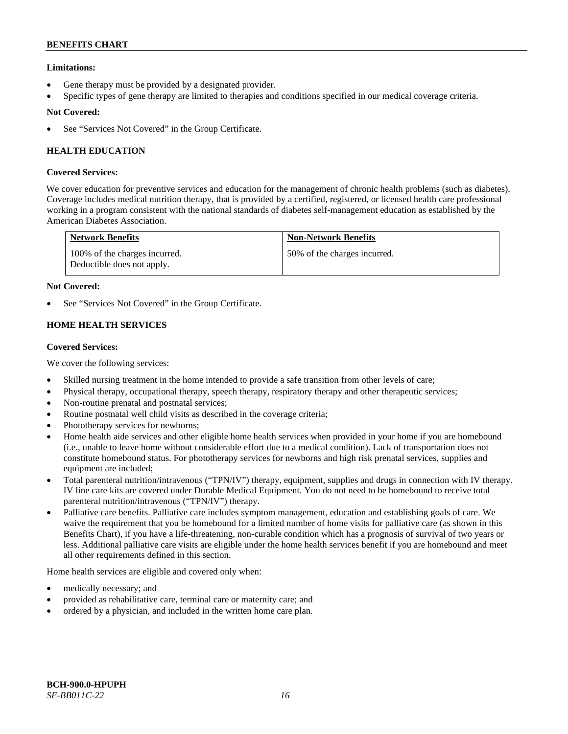### **Limitations:**

- Gene therapy must be provided by a designated provider.
- Specific types of gene therapy are limited to therapies and conditions specified in our medical coverage criteria.

### **Not Covered:**

See "Services Not Covered" in the Group Certificate.

# **HEALTH EDUCATION**

### **Covered Services:**

We cover education for preventive services and education for the management of chronic health problems (such as diabetes). Coverage includes medical nutrition therapy, that is provided by a certified, registered, or licensed health care professional working in a program consistent with the national standards of diabetes self-management education as established by the American Diabetes Association.

| <b>Network Benefits</b>                                     | <b>Non-Network Benefits</b>  |
|-------------------------------------------------------------|------------------------------|
| 100% of the charges incurred.<br>Deductible does not apply. | 50% of the charges incurred. |

### **Not Covered:**

See "Services Not Covered" in the Group Certificate.

# **HOME HEALTH SERVICES**

### **Covered Services:**

We cover the following services:

- Skilled nursing treatment in the home intended to provide a safe transition from other levels of care;
- Physical therapy, occupational therapy, speech therapy, respiratory therapy and other therapeutic services;
- Non-routine prenatal and postnatal services;
- Routine postnatal well child visits as described in the coverage criteria;
- Phototherapy services for newborns;
- Home health aide services and other eligible home health services when provided in your home if you are homebound (i.e., unable to leave home without considerable effort due to a medical condition). Lack of transportation does not constitute homebound status. For phototherapy services for newborns and high risk prenatal services, supplies and equipment are included;
- Total parenteral nutrition/intravenous ("TPN/IV") therapy, equipment, supplies and drugs in connection with IV therapy. IV line care kits are covered under Durable Medical Equipment. You do not need to be homebound to receive total parenteral nutrition/intravenous ("TPN/IV") therapy.
- Palliative care benefits. Palliative care includes symptom management, education and establishing goals of care. We waive the requirement that you be homebound for a limited number of home visits for palliative care (as shown in this Benefits Chart), if you have a life-threatening, non-curable condition which has a prognosis of survival of two years or less. Additional palliative care visits are eligible under the home health services benefit if you are homebound and meet all other requirements defined in this section.

Home health services are eligible and covered only when:

- medically necessary; and
- provided as rehabilitative care, terminal care or maternity care; and
- ordered by a physician, and included in the written home care plan.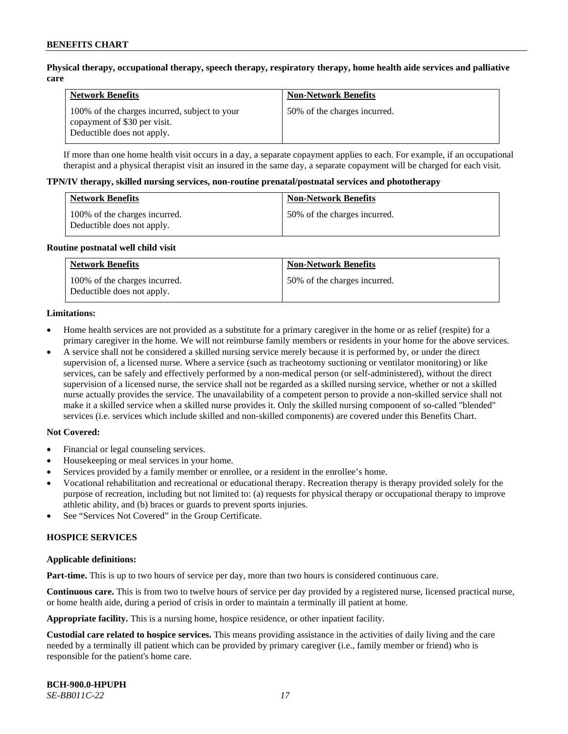### **Physical therapy, occupational therapy, speech therapy, respiratory therapy, home health aide services and palliative care**

| <b>Network Benefits</b>                                                                                     | <b>Non-Network Benefits</b>  |
|-------------------------------------------------------------------------------------------------------------|------------------------------|
| 100% of the charges incurred, subject to your<br>copayment of \$30 per visit.<br>Deductible does not apply. | 50% of the charges incurred. |

If more than one home health visit occurs in a day, a separate copayment applies to each. For example, if an occupational therapist and a physical therapist visit an insured in the same day, a separate copayment will be charged for each visit.

#### **TPN/IV therapy, skilled nursing services, non-routine prenatal/postnatal services and phototherapy**

| <b>Network Benefits</b>                                     | <b>Non-Network Benefits</b>  |
|-------------------------------------------------------------|------------------------------|
| 100% of the charges incurred.<br>Deductible does not apply. | 50% of the charges incurred. |

#### **Routine postnatal well child visit**

| <b>Network Benefits</b>                                     | <b>Non-Network Benefits</b>  |
|-------------------------------------------------------------|------------------------------|
| 100% of the charges incurred.<br>Deductible does not apply. | 50% of the charges incurred. |

#### **Limitations:**

- Home health services are not provided as a substitute for a primary caregiver in the home or as relief (respite) for a primary caregiver in the home. We will not reimburse family members or residents in your home for the above services.
- A service shall not be considered a skilled nursing service merely because it is performed by, or under the direct supervision of, a licensed nurse. Where a service (such as tracheotomy suctioning or ventilator monitoring) or like services, can be safely and effectively performed by a non-medical person (or self-administered), without the direct supervision of a licensed nurse, the service shall not be regarded as a skilled nursing service, whether or not a skilled nurse actually provides the service. The unavailability of a competent person to provide a non-skilled service shall not make it a skilled service when a skilled nurse provides it. Only the skilled nursing component of so-called "blended" services (i.e. services which include skilled and non-skilled components) are covered under this Benefits Chart.

#### **Not Covered:**

- Financial or legal counseling services.
- Housekeeping or meal services in your home.
- Services provided by a family member or enrollee, or a resident in the enrollee's home.
- Vocational rehabilitation and recreational or educational therapy. Recreation therapy is therapy provided solely for the purpose of recreation, including but not limited to: (a) requests for physical therapy or occupational therapy to improve athletic ability, and (b) braces or guards to prevent sports injuries.
- See "Services Not Covered" in the Group Certificate.

### **HOSPICE SERVICES**

#### **Applicable definitions:**

**Part-time.** This is up to two hours of service per day, more than two hours is considered continuous care.

**Continuous care.** This is from two to twelve hours of service per day provided by a registered nurse, licensed practical nurse, or home health aide, during a period of crisis in order to maintain a terminally ill patient at home.

**Appropriate facility.** This is a nursing home, hospice residence, or other inpatient facility.

**Custodial care related to hospice services.** This means providing assistance in the activities of daily living and the care needed by a terminally ill patient which can be provided by primary caregiver (i.e., family member or friend) who is responsible for the patient's home care.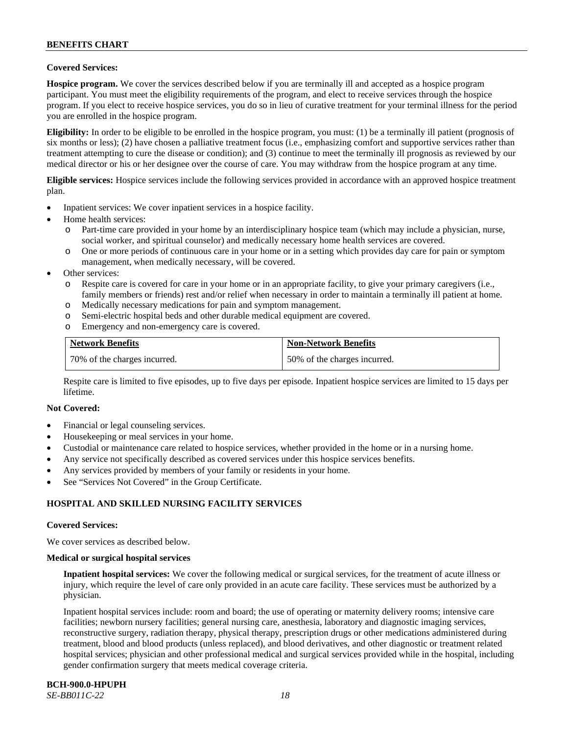### **Covered Services:**

**Hospice program.** We cover the services described below if you are terminally ill and accepted as a hospice program participant. You must meet the eligibility requirements of the program, and elect to receive services through the hospice program. If you elect to receive hospice services, you do so in lieu of curative treatment for your terminal illness for the period you are enrolled in the hospice program.

**Eligibility:** In order to be eligible to be enrolled in the hospice program, you must: (1) be a terminally ill patient (prognosis of six months or less); (2) have chosen a palliative treatment focus (i.e., emphasizing comfort and supportive services rather than treatment attempting to cure the disease or condition); and (3) continue to meet the terminally ill prognosis as reviewed by our medical director or his or her designee over the course of care. You may withdraw from the hospice program at any time.

**Eligible services:** Hospice services include the following services provided in accordance with an approved hospice treatment plan.

- Inpatient services: We cover inpatient services in a hospice facility.
- Home health services:
	- o Part-time care provided in your home by an interdisciplinary hospice team (which may include a physician, nurse, social worker, and spiritual counselor) and medically necessary home health services are covered.
	- One or more periods of continuous care in your home or in a setting which provides day care for pain or symptom management, when medically necessary, will be covered.
- Other services:
	- o Respite care is covered for care in your home or in an appropriate facility, to give your primary caregivers (i.e., family members or friends) rest and/or relief when necessary in order to maintain a terminally ill patient at home.
	- o Medically necessary medications for pain and symptom management.
	- o Semi-electric hospital beds and other durable medical equipment are covered.
	- o Emergency and non-emergency care is covered.

| <b>Network Benefits</b>      | <b>Non-Network Benefits</b>  |
|------------------------------|------------------------------|
| 70% of the charges incurred. | 50% of the charges incurred. |

Respite care is limited to five episodes, up to five days per episode. Inpatient hospice services are limited to 15 days per lifetime.

#### **Not Covered:**

- Financial or legal counseling services.
- Housekeeping or meal services in your home.
- Custodial or maintenance care related to hospice services, whether provided in the home or in a nursing home.
- Any service not specifically described as covered services under this hospice services benefits.
- Any services provided by members of your family or residents in your home.
- See "Services Not Covered" in the Group Certificate.

### **HOSPITAL AND SKILLED NURSING FACILITY SERVICES**

#### **Covered Services:**

We cover services as described below.

#### **Medical or surgical hospital services**

**Inpatient hospital services:** We cover the following medical or surgical services, for the treatment of acute illness or injury, which require the level of care only provided in an acute care facility. These services must be authorized by a physician.

Inpatient hospital services include: room and board; the use of operating or maternity delivery rooms; intensive care facilities; newborn nursery facilities; general nursing care, anesthesia, laboratory and diagnostic imaging services, reconstructive surgery, radiation therapy, physical therapy, prescription drugs or other medications administered during treatment, blood and blood products (unless replaced), and blood derivatives, and other diagnostic or treatment related hospital services; physician and other professional medical and surgical services provided while in the hospital, including gender confirmation surgery that meets medical coverage criteria.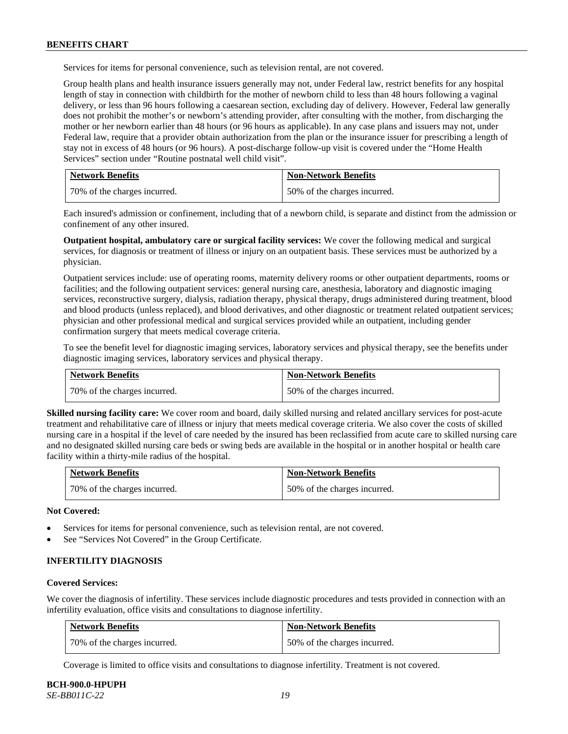Services for items for personal convenience, such as television rental, are not covered.

Group health plans and health insurance issuers generally may not, under Federal law, restrict benefits for any hospital length of stay in connection with childbirth for the mother of newborn child to less than 48 hours following a vaginal delivery, or less than 96 hours following a caesarean section, excluding day of delivery. However, Federal law generally does not prohibit the mother's or newborn's attending provider, after consulting with the mother, from discharging the mother or her newborn earlier than 48 hours (or 96 hours as applicable). In any case plans and issuers may not, under Federal law, require that a provider obtain authorization from the plan or the insurance issuer for prescribing a length of stay not in excess of 48 hours (or 96 hours). A post-discharge follow-up visit is covered under the "Home Health Services" section under "Routine postnatal well child visit".

| <b>Network Benefits</b>      | <b>Non-Network Benefits</b>  |
|------------------------------|------------------------------|
| 70% of the charges incurred. | 50% of the charges incurred. |

Each insured's admission or confinement, including that of a newborn child, is separate and distinct from the admission or confinement of any other insured.

**Outpatient hospital, ambulatory care or surgical facility services:** We cover the following medical and surgical services, for diagnosis or treatment of illness or injury on an outpatient basis. These services must be authorized by a physician.

Outpatient services include: use of operating rooms, maternity delivery rooms or other outpatient departments, rooms or facilities; and the following outpatient services: general nursing care, anesthesia, laboratory and diagnostic imaging services, reconstructive surgery, dialysis, radiation therapy, physical therapy, drugs administered during treatment, blood and blood products (unless replaced), and blood derivatives, and other diagnostic or treatment related outpatient services; physician and other professional medical and surgical services provided while an outpatient, including gender confirmation surgery that meets medical coverage criteria.

To see the benefit level for diagnostic imaging services, laboratory services and physical therapy, see the benefits under diagnostic imaging services, laboratory services and physical therapy.

| <b>Network Benefits</b>      | <b>Non-Network Benefits</b>  |
|------------------------------|------------------------------|
| 70% of the charges incurred. | 50% of the charges incurred. |

**Skilled nursing facility care:** We cover room and board, daily skilled nursing and related ancillary services for post-acute treatment and rehabilitative care of illness or injury that meets medical coverage criteria. We also cover the costs of skilled nursing care in a hospital if the level of care needed by the insured has been reclassified from acute care to skilled nursing care and no designated skilled nursing care beds or swing beds are available in the hospital or in another hospital or health care facility within a thirty-mile radius of the hospital.

| <b>Network Benefits</b>      | <b>Non-Network Benefits</b>  |
|------------------------------|------------------------------|
| 70% of the charges incurred. | 50% of the charges incurred. |

**Not Covered:**

- Services for items for personal convenience, such as television rental, are not covered.
- See "Services Not Covered" in the Group Certificate.

#### **INFERTILITY DIAGNOSIS**

#### **Covered Services:**

We cover the diagnosis of infertility. These services include diagnostic procedures and tests provided in connection with an infertility evaluation, office visits and consultations to diagnose infertility.

| <b>Network Benefits</b>      | <b>Non-Network Benefits</b>  |
|------------------------------|------------------------------|
| 70% of the charges incurred. | 50% of the charges incurred. |

Coverage is limited to office visits and consultations to diagnose infertility. Treatment is not covered.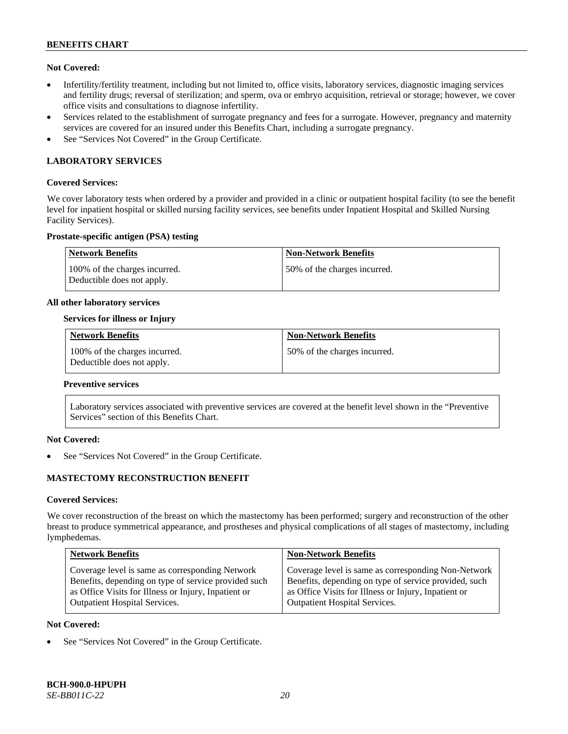### **Not Covered:**

- Infertility/fertility treatment, including but not limited to, office visits, laboratory services, diagnostic imaging services and fertility drugs; reversal of sterilization; and sperm, ova or embryo acquisition, retrieval or storage; however, we cover office visits and consultations to diagnose infertility.
- Services related to the establishment of surrogate pregnancy and fees for a surrogate. However, pregnancy and maternity services are covered for an insured under this Benefits Chart, including a surrogate pregnancy.
- See "Services Not Covered" in the Group Certificate.

### **LABORATORY SERVICES**

#### **Covered Services:**

We cover laboratory tests when ordered by a provider and provided in a clinic or outpatient hospital facility (to see the benefit level for inpatient hospital or skilled nursing facility services, see benefits under Inpatient Hospital and Skilled Nursing Facility Services).

### **Prostate-specific antigen (PSA) testing**

| <b>Network Benefits</b>                                     | <b>Non-Network Benefits</b>  |
|-------------------------------------------------------------|------------------------------|
| 100% of the charges incurred.<br>Deductible does not apply. | 50% of the charges incurred. |

#### **All other laboratory services**

### **Services for illness or Injury**

| <b>Network Benefits</b>                                     | <b>Non-Network Benefits</b>  |
|-------------------------------------------------------------|------------------------------|
| 100% of the charges incurred.<br>Deductible does not apply. | 50% of the charges incurred. |

#### **Preventive services**

Laboratory services associated with preventive services are covered at the benefit level shown in the "Preventive Services" section of this Benefits Chart.

### **Not Covered:**

See "Services Not Covered" in the Group Certificate.

### **MASTECTOMY RECONSTRUCTION BENEFIT**

#### **Covered Services:**

We cover reconstruction of the breast on which the mastectomy has been performed; surgery and reconstruction of the other breast to produce symmetrical appearance, and prostheses and physical complications of all stages of mastectomy, including lymphedemas.

| <b>Non-Network Benefits</b>                                                                                                                                                                                  |
|--------------------------------------------------------------------------------------------------------------------------------------------------------------------------------------------------------------|
| Coverage level is same as corresponding Non-Network<br>Benefits, depending on type of service provided, such<br>as Office Visits for Illness or Injury, Inpatient or<br><b>Outpatient Hospital Services.</b> |
|                                                                                                                                                                                                              |

#### **Not Covered:**

See "Services Not Covered" in the Group Certificate.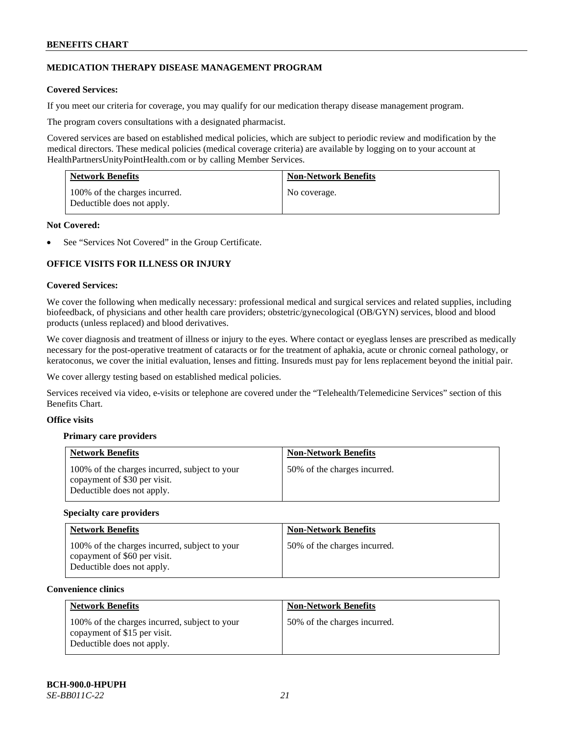### **MEDICATION THERAPY DISEASE MANAGEMENT PROGRAM**

### **Covered Services:**

If you meet our criteria for coverage, you may qualify for our medication therapy disease management program.

The program covers consultations with a designated pharmacist.

Covered services are based on established medical policies, which are subject to periodic review and modification by the medical directors. These medical policies (medical coverage criteria) are available by logging on to your account at [HealthPartnersUnityPointHealth.com](https://www.healthpartnersunitypointhealth.com/) or by calling Member Services.

| <b>Network Benefits</b>                                     | <b>Non-Network Benefits</b> |
|-------------------------------------------------------------|-----------------------------|
| 100% of the charges incurred.<br>Deductible does not apply. | No coverage.                |

### **Not Covered:**

See "Services Not Covered" in the Group Certificate.

### **OFFICE VISITS FOR ILLNESS OR INJURY**

### **Covered Services:**

We cover the following when medically necessary: professional medical and surgical services and related supplies, including biofeedback, of physicians and other health care providers; obstetric/gynecological (OB/GYN) services, blood and blood products (unless replaced) and blood derivatives.

We cover diagnosis and treatment of illness or injury to the eyes. Where contact or eyeglass lenses are prescribed as medically necessary for the post-operative treatment of cataracts or for the treatment of aphakia, acute or chronic corneal pathology, or keratoconus, we cover the initial evaluation, lenses and fitting. Insureds must pay for lens replacement beyond the initial pair.

We cover allergy testing based on established medical policies.

Services received via video, e-visits or telephone are covered under the "Telehealth/Telemedicine Services" section of this Benefits Chart.

### **Office visits**

### **Primary care providers**

| <b>Network Benefits</b>                                                                                     | <b>Non-Network Benefits</b>  |
|-------------------------------------------------------------------------------------------------------------|------------------------------|
| 100% of the charges incurred, subject to your<br>copayment of \$30 per visit.<br>Deductible does not apply. | 50% of the charges incurred. |

#### **Specialty care providers**

| <b>Network Benefits</b>                                                                                     | <b>Non-Network Benefits</b>  |
|-------------------------------------------------------------------------------------------------------------|------------------------------|
| 100% of the charges incurred, subject to your<br>copayment of \$60 per visit.<br>Deductible does not apply. | 50% of the charges incurred. |

#### **Convenience clinics**

| <b>Network Benefits</b>                                                                                     | <b>Non-Network Benefits</b>  |
|-------------------------------------------------------------------------------------------------------------|------------------------------|
| 100% of the charges incurred, subject to your<br>copayment of \$15 per visit.<br>Deductible does not apply. | 50% of the charges incurred. |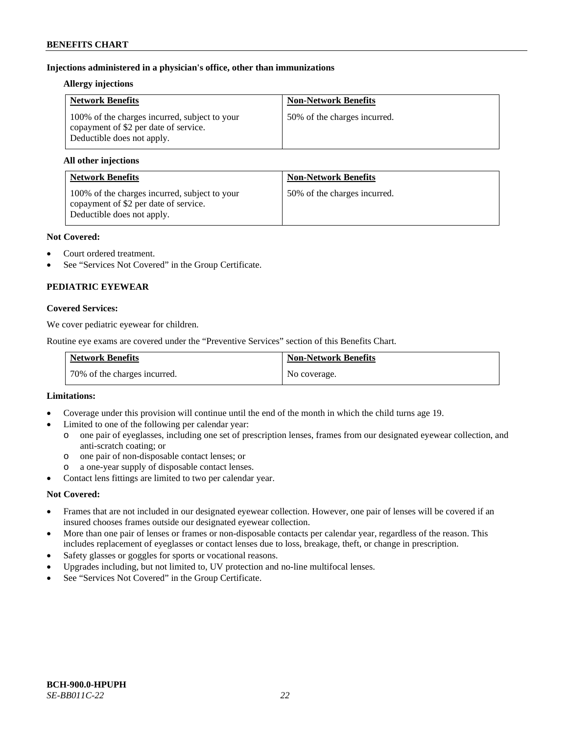### **Injections administered in a physician's office, other than immunizations**

#### **Allergy injections**

| <b>Network Benefits</b>                                                                                              | <b>Non-Network Benefits</b>  |
|----------------------------------------------------------------------------------------------------------------------|------------------------------|
| 100% of the charges incurred, subject to your<br>copayment of \$2 per date of service.<br>Deductible does not apply. | 50% of the charges incurred. |

### **All other injections**

| <b>Network Benefits</b>                                                                                              | <b>Non-Network Benefits</b>  |
|----------------------------------------------------------------------------------------------------------------------|------------------------------|
| 100% of the charges incurred, subject to your<br>copayment of \$2 per date of service.<br>Deductible does not apply. | 50% of the charges incurred. |

### **Not Covered:**

- Court ordered treatment.
- See "Services Not Covered" in the Group Certificate.

# **PEDIATRIC EYEWEAR**

### **Covered Services:**

We cover pediatric eyewear for children.

Routine eye exams are covered under the "Preventive Services" section of this Benefits Chart.

| <b>Network Benefits</b>      | <b>Non-Network Benefits</b> |
|------------------------------|-----------------------------|
| 70% of the charges incurred. | No coverage.                |

#### **Limitations:**

- Coverage under this provision will continue until the end of the month in which the child turns age 19.
- Limited to one of the following per calendar year:
	- o one pair of eyeglasses, including one set of prescription lenses, frames from our designated eyewear collection, and anti-scratch coating; or
	- o one pair of non-disposable contact lenses; or
	- a one-year supply of disposable contact lenses.
- Contact lens fittings are limited to two per calendar year.

### **Not Covered:**

- Frames that are not included in our designated eyewear collection. However, one pair of lenses will be covered if an insured chooses frames outside our designated eyewear collection.
- More than one pair of lenses or frames or non-disposable contacts per calendar year, regardless of the reason. This includes replacement of eyeglasses or contact lenses due to loss, breakage, theft, or change in prescription.
- Safety glasses or goggles for sports or vocational reasons.
- Upgrades including, but not limited to, UV protection and no-line multifocal lenses.
- See "Services Not Covered" in the Group Certificate.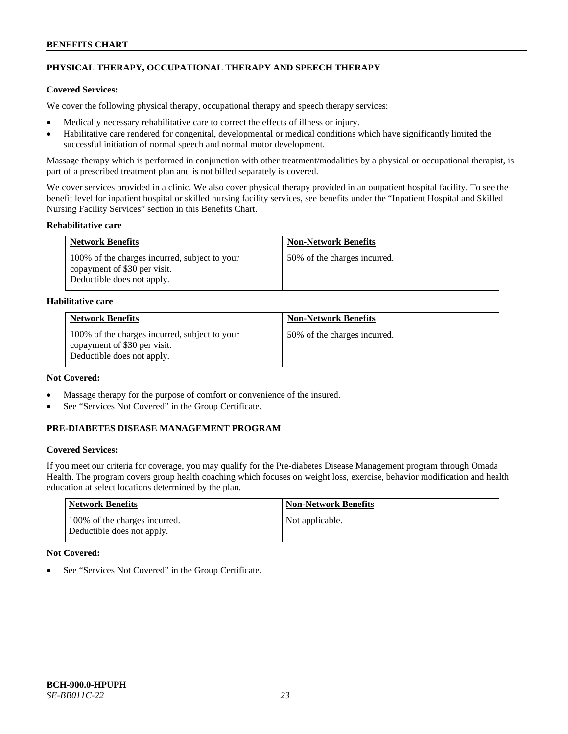# **PHYSICAL THERAPY, OCCUPATIONAL THERAPY AND SPEECH THERAPY**

## **Covered Services:**

We cover the following physical therapy, occupational therapy and speech therapy services:

- Medically necessary rehabilitative care to correct the effects of illness or injury.
- Habilitative care rendered for congenital, developmental or medical conditions which have significantly limited the successful initiation of normal speech and normal motor development.

Massage therapy which is performed in conjunction with other treatment/modalities by a physical or occupational therapist, is part of a prescribed treatment plan and is not billed separately is covered.

We cover services provided in a clinic. We also cover physical therapy provided in an outpatient hospital facility. To see the benefit level for inpatient hospital or skilled nursing facility services, see benefits under the "Inpatient Hospital and Skilled Nursing Facility Services" section in this Benefits Chart.

### **Rehabilitative care**

| <b>Network Benefits</b>                                                                                     | <b>Non-Network Benefits</b>  |
|-------------------------------------------------------------------------------------------------------------|------------------------------|
| 100% of the charges incurred, subject to your<br>copayment of \$30 per visit.<br>Deductible does not apply. | 50% of the charges incurred. |

### **Habilitative care**

| <b>Network Benefits</b>                                                                                     | <b>Non-Network Benefits</b>  |
|-------------------------------------------------------------------------------------------------------------|------------------------------|
| 100% of the charges incurred, subject to your<br>copayment of \$30 per visit.<br>Deductible does not apply. | 50% of the charges incurred. |

# **Not Covered:**

- Massage therapy for the purpose of comfort or convenience of the insured.
- See "Services Not Covered" in the Group Certificate.

### **PRE-DIABETES DISEASE MANAGEMENT PROGRAM**

### **Covered Services:**

If you meet our criteria for coverage, you may qualify for the Pre-diabetes Disease Management program through Omada Health. The program covers group health coaching which focuses on weight loss, exercise, behavior modification and health education at select locations determined by the plan.

| Network Benefits                                            | <b>Non-Network Benefits</b> |
|-------------------------------------------------------------|-----------------------------|
| 100% of the charges incurred.<br>Deductible does not apply. | Not applicable.             |

### **Not Covered:**

See "Services Not Covered" in the Group Certificate.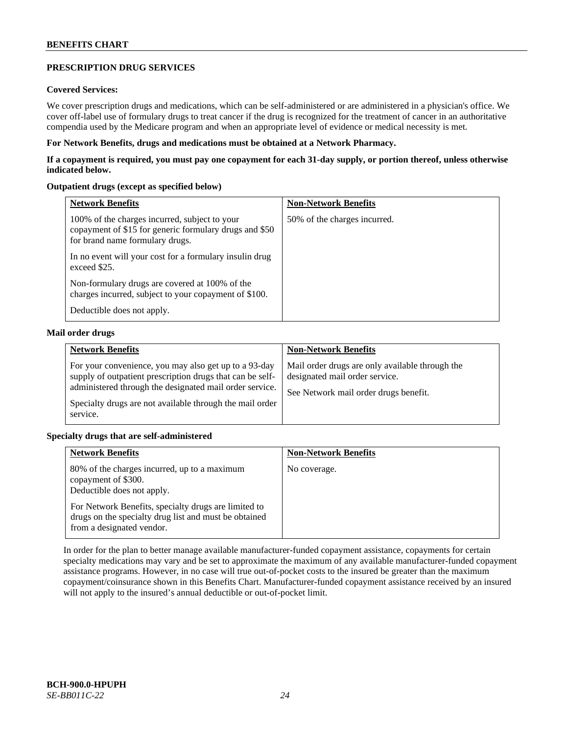### **PRESCRIPTION DRUG SERVICES**

### **Covered Services:**

We cover prescription drugs and medications, which can be self-administered or are administered in a physician's office. We cover off-label use of formulary drugs to treat cancer if the drug is recognized for the treatment of cancer in an authoritative compendia used by the Medicare program and when an appropriate level of evidence or medical necessity is met.

### **For Network Benefits, drugs and medications must be obtained at a Network Pharmacy.**

**If a copayment is required, you must pay one copayment for each 31-day supply, or portion thereof, unless otherwise indicated below.**

### **Outpatient drugs (except as specified below)**

| <b>Network Benefits</b>                                                                                                                    | <b>Non-Network Benefits</b>  |
|--------------------------------------------------------------------------------------------------------------------------------------------|------------------------------|
| 100% of the charges incurred, subject to your<br>copayment of \$15 for generic formulary drugs and \$50<br>for brand name formulary drugs. | 50% of the charges incurred. |
| In no event will your cost for a formulary insulin drug<br>exceed \$25.                                                                    |                              |
| Non-formulary drugs are covered at 100% of the<br>charges incurred, subject to your copayment of \$100.                                    |                              |
| Deductible does not apply.                                                                                                                 |                              |

### **Mail order drugs**

| <b>Network Benefits</b>                                                                                                                                                                                                                               | <b>Non-Network Benefits</b>                                                                                                |
|-------------------------------------------------------------------------------------------------------------------------------------------------------------------------------------------------------------------------------------------------------|----------------------------------------------------------------------------------------------------------------------------|
| For your convenience, you may also get up to a 93-day<br>supply of outpatient prescription drugs that can be self-<br>administered through the designated mail order service.<br>Specialty drugs are not available through the mail order<br>service. | Mail order drugs are only available through the<br>designated mail order service.<br>See Network mail order drugs benefit. |

### **Specialty drugs that are self-administered**

| <b>Network Benefits</b>                                                                                                                    | <b>Non-Network Benefits</b> |
|--------------------------------------------------------------------------------------------------------------------------------------------|-----------------------------|
| 80% of the charges incurred, up to a maximum<br>copayment of \$300.<br>Deductible does not apply.                                          | No coverage.                |
| For Network Benefits, specialty drugs are limited to<br>drugs on the specialty drug list and must be obtained<br>from a designated vendor. |                             |

In order for the plan to better manage available manufacturer-funded copayment assistance, copayments for certain specialty medications may vary and be set to approximate the maximum of any available manufacturer-funded copayment assistance programs. However, in no case will true out-of-pocket costs to the insured be greater than the maximum copayment/coinsurance shown in this Benefits Chart. Manufacturer-funded copayment assistance received by an insured will not apply to the insured's annual deductible or out-of-pocket limit.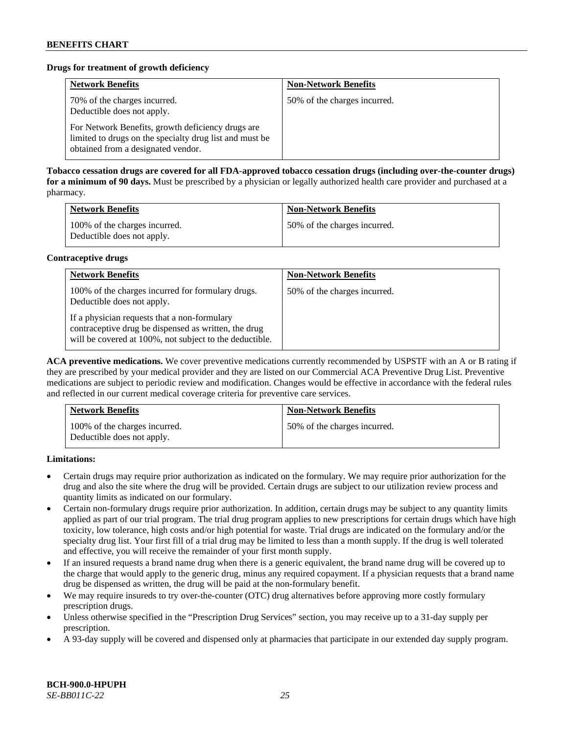### **Drugs for treatment of growth deficiency**

| <b>Network Benefits</b>                                                                                                                            | <b>Non-Network Benefits</b>  |
|----------------------------------------------------------------------------------------------------------------------------------------------------|------------------------------|
| 70% of the charges incurred.<br>Deductible does not apply.                                                                                         | 50% of the charges incurred. |
| For Network Benefits, growth deficiency drugs are<br>limited to drugs on the specialty drug list and must be<br>obtained from a designated vendor. |                              |

**Tobacco cessation drugs are covered for all FDA-approved tobacco cessation drugs (including over-the-counter drugs) for a minimum of 90 days.** Must be prescribed by a physician or legally authorized health care provider and purchased at a pharmacy.

| <b>Network Benefits</b>                                     | <b>Non-Network Benefits</b>  |
|-------------------------------------------------------------|------------------------------|
| 100% of the charges incurred.<br>Deductible does not apply. | 50% of the charges incurred. |

### **Contraceptive drugs**

| <b>Network Benefits</b>                                                                                                                                         | <b>Non-Network Benefits</b>  |
|-----------------------------------------------------------------------------------------------------------------------------------------------------------------|------------------------------|
| 100% of the charges incurred for formulary drugs.<br>Deductible does not apply.                                                                                 | 50% of the charges incurred. |
| If a physician requests that a non-formulary<br>contraceptive drug be dispensed as written, the drug<br>will be covered at 100%, not subject to the deductible. |                              |

**ACA preventive medications.** We cover preventive medications currently recommended by USPSTF with an A or B rating if they are prescribed by your medical provider and they are listed on our Commercial ACA Preventive Drug List. Preventive medications are subject to periodic review and modification. Changes would be effective in accordance with the federal rules and reflected in our current medical coverage criteria for preventive care services.

| <b>Network Benefits</b>                                     | <b>Non-Network Benefits</b>  |
|-------------------------------------------------------------|------------------------------|
| 100% of the charges incurred.<br>Deductible does not apply. | 50% of the charges incurred. |

**Limitations:**

- Certain drugs may require prior authorization as indicated on the formulary. We may require prior authorization for the drug and also the site where the drug will be provided. Certain drugs are subject to our utilization review process and quantity limits as indicated on our formulary.
- Certain non-formulary drugs require prior authorization. In addition, certain drugs may be subject to any quantity limits applied as part of our trial program. The trial drug program applies to new prescriptions for certain drugs which have high toxicity, low tolerance, high costs and/or high potential for waste. Trial drugs are indicated on the formulary and/or the specialty drug list. Your first fill of a trial drug may be limited to less than a month supply. If the drug is well tolerated and effective, you will receive the remainder of your first month supply.
- If an insured requests a brand name drug when there is a generic equivalent, the brand name drug will be covered up to the charge that would apply to the generic drug, minus any required copayment. If a physician requests that a brand name drug be dispensed as written, the drug will be paid at the non-formulary benefit.
- We may require insureds to try over-the-counter (OTC) drug alternatives before approving more costly formulary prescription drugs.
- Unless otherwise specified in the "Prescription Drug Services" section, you may receive up to a 31-day supply per prescription.
- A 93-day supply will be covered and dispensed only at pharmacies that participate in our extended day supply program.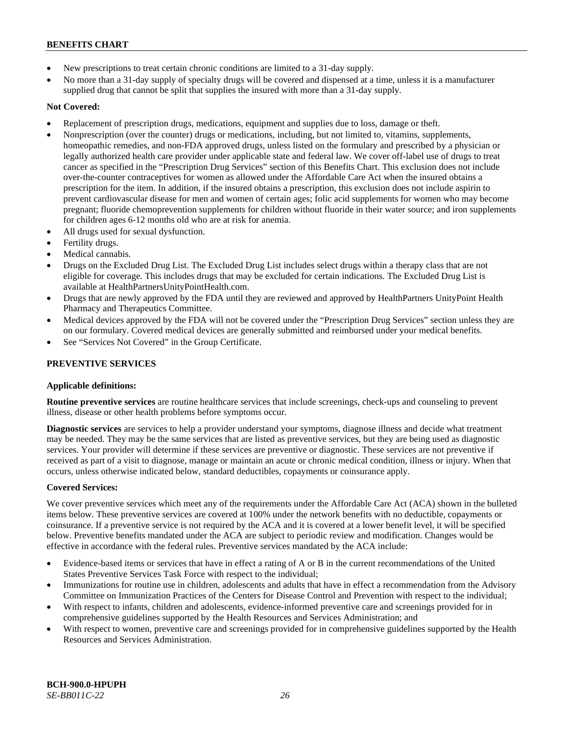- New prescriptions to treat certain chronic conditions are limited to a 31-day supply.
- No more than a 31-day supply of specialty drugs will be covered and dispensed at a time, unless it is a manufacturer supplied drug that cannot be split that supplies the insured with more than a 31-day supply.

# **Not Covered:**

- Replacement of prescription drugs, medications, equipment and supplies due to loss, damage or theft.
- Nonprescription (over the counter) drugs or medications, including, but not limited to, vitamins, supplements, homeopathic remedies, and non-FDA approved drugs, unless listed on the formulary and prescribed by a physician or legally authorized health care provider under applicable state and federal law. We cover off-label use of drugs to treat cancer as specified in the "Prescription Drug Services" section of this Benefits Chart. This exclusion does not include over-the-counter contraceptives for women as allowed under the Affordable Care Act when the insured obtains a prescription for the item. In addition, if the insured obtains a prescription, this exclusion does not include aspirin to prevent cardiovascular disease for men and women of certain ages; folic acid supplements for women who may become pregnant; fluoride chemoprevention supplements for children without fluoride in their water source; and iron supplements for children ages 6-12 months old who are at risk for anemia.
- All drugs used for sexual dysfunction.
- Fertility drugs.
- Medical cannabis.
- Drugs on the Excluded Drug List. The Excluded Drug List includes select drugs within a therapy class that are not eligible for coverage. This includes drugs that may be excluded for certain indications. The Excluded Drug List is available a[t HealthPartnersUnityPointHealth.com.](https://www.healthpartnersunitypointhealth.com/)
- Drugs that are newly approved by the FDA until they are reviewed and approved by HealthPartners UnityPoint Health Pharmacy and Therapeutics Committee.
- Medical devices approved by the FDA will not be covered under the "Prescription Drug Services" section unless they are on our formulary. Covered medical devices are generally submitted and reimbursed under your medical benefits.
- See "Services Not Covered" in the Group Certificate.

# **PREVENTIVE SERVICES**

### **Applicable definitions:**

**Routine preventive services** are routine healthcare services that include screenings, check-ups and counseling to prevent illness, disease or other health problems before symptoms occur.

**Diagnostic services** are services to help a provider understand your symptoms, diagnose illness and decide what treatment may be needed. They may be the same services that are listed as preventive services, but they are being used as diagnostic services. Your provider will determine if these services are preventive or diagnostic. These services are not preventive if received as part of a visit to diagnose, manage or maintain an acute or chronic medical condition, illness or injury. When that occurs, unless otherwise indicated below, standard deductibles, copayments or coinsurance apply.

### **Covered Services:**

We cover preventive services which meet any of the requirements under the Affordable Care Act (ACA) shown in the bulleted items below. These preventive services are covered at 100% under the network benefits with no deductible, copayments or coinsurance. If a preventive service is not required by the ACA and it is covered at a lower benefit level, it will be specified below. Preventive benefits mandated under the ACA are subject to periodic review and modification. Changes would be effective in accordance with the federal rules. Preventive services mandated by the ACA include:

- Evidence-based items or services that have in effect a rating of A or B in the current recommendations of the United States Preventive Services Task Force with respect to the individual;
- Immunizations for routine use in children, adolescents and adults that have in effect a recommendation from the Advisory Committee on Immunization Practices of the Centers for Disease Control and Prevention with respect to the individual;
- With respect to infants, children and adolescents, evidence-informed preventive care and screenings provided for in comprehensive guidelines supported by the Health Resources and Services Administration; and
- With respect to women, preventive care and screenings provided for in comprehensive guidelines supported by the Health Resources and Services Administration.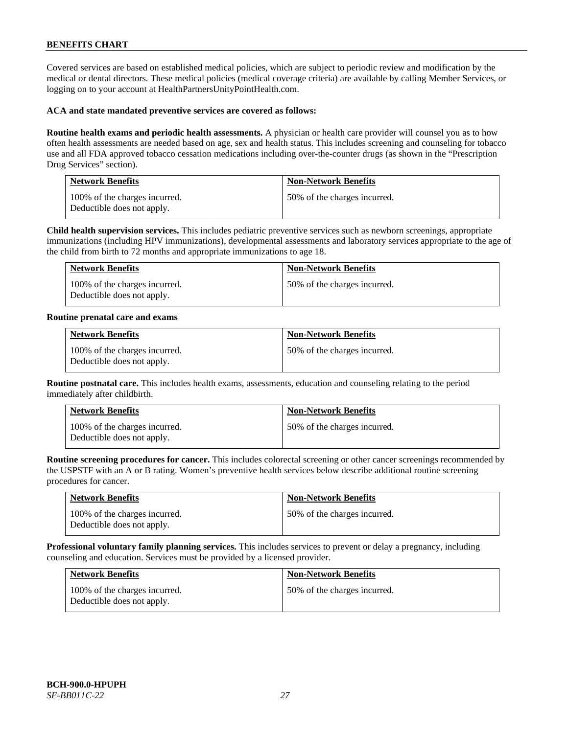Covered services are based on established medical policies, which are subject to periodic review and modification by the medical or dental directors. These medical policies (medical coverage criteria) are available by calling Member Services, or logging on to your account at [HealthPartnersUnityPointHealth.com.](https://www.healthpartnersunitypointhealth.com/)

#### **ACA and state mandated preventive services are covered as follows:**

**Routine health exams and periodic health assessments.** A physician or health care provider will counsel you as to how often health assessments are needed based on age, sex and health status. This includes screening and counseling for tobacco use and all FDA approved tobacco cessation medications including over-the-counter drugs (as shown in the "Prescription Drug Services" section).

| <b>Network Benefits</b>                                     | <b>Non-Network Benefits</b>  |
|-------------------------------------------------------------|------------------------------|
| 100% of the charges incurred.<br>Deductible does not apply. | 50% of the charges incurred. |

**Child health supervision services.** This includes pediatric preventive services such as newborn screenings, appropriate immunizations (including HPV immunizations), developmental assessments and laboratory services appropriate to the age of the child from birth to 72 months and appropriate immunizations to age 18.

| <b>Network Benefits</b>                                     | <b>Non-Network Benefits</b>  |
|-------------------------------------------------------------|------------------------------|
| 100% of the charges incurred.<br>Deductible does not apply. | 50% of the charges incurred. |

#### **Routine prenatal care and exams**

| <b>Network Benefits</b>                                     | <b>Non-Network Benefits</b>  |
|-------------------------------------------------------------|------------------------------|
| 100% of the charges incurred.<br>Deductible does not apply. | 50% of the charges incurred. |

**Routine postnatal care.** This includes health exams, assessments, education and counseling relating to the period immediately after childbirth.

| <b>Network Benefits</b>                                     | <b>Non-Network Benefits</b>  |
|-------------------------------------------------------------|------------------------------|
| 100% of the charges incurred.<br>Deductible does not apply. | 50% of the charges incurred. |

**Routine screening procedures for cancer.** This includes colorectal screening or other cancer screenings recommended by the USPSTF with an A or B rating. Women's preventive health services below describe additional routine screening procedures for cancer.

| <b>Network Benefits</b>                                     | <b>Non-Network Benefits</b>  |
|-------------------------------------------------------------|------------------------------|
| 100% of the charges incurred.<br>Deductible does not apply. | 50% of the charges incurred. |

**Professional voluntary family planning services.** This includes services to prevent or delay a pregnancy, including counseling and education. Services must be provided by a licensed provider.

| <b>Network Benefits</b>                                     | <b>Non-Network Benefits</b>  |
|-------------------------------------------------------------|------------------------------|
| 100% of the charges incurred.<br>Deductible does not apply. | 50% of the charges incurred. |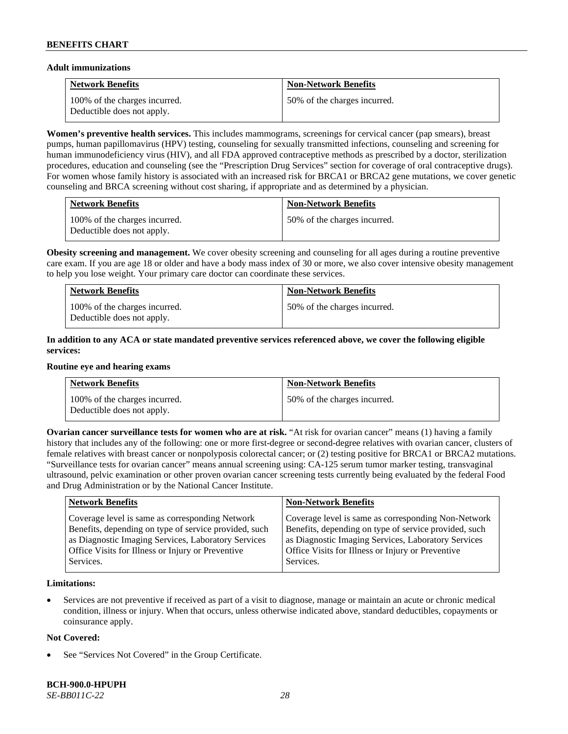#### **Adult immunizations**

| <b>Network Benefits</b>                                     | <b>Non-Network Benefits</b>  |
|-------------------------------------------------------------|------------------------------|
| 100% of the charges incurred.<br>Deductible does not apply. | 50% of the charges incurred. |

**Women's preventive health services.** This includes mammograms, screenings for cervical cancer (pap smears), breast pumps, human papillomavirus (HPV) testing, counseling for sexually transmitted infections, counseling and screening for human immunodeficiency virus (HIV), and all FDA approved contraceptive methods as prescribed by a doctor, sterilization procedures, education and counseling (see the "Prescription Drug Services" section for coverage of oral contraceptive drugs). For women whose family history is associated with an increased risk for BRCA1 or BRCA2 gene mutations, we cover genetic counseling and BRCA screening without cost sharing, if appropriate and as determined by a physician.

| <b>Network Benefits</b>                                     | <b>Non-Network Benefits</b>  |
|-------------------------------------------------------------|------------------------------|
| 100% of the charges incurred.<br>Deductible does not apply. | 50% of the charges incurred. |

**Obesity screening and management.** We cover obesity screening and counseling for all ages during a routine preventive care exam. If you are age 18 or older and have a body mass index of 30 or more, we also cover intensive obesity management to help you lose weight. Your primary care doctor can coordinate these services.

| <b>Network Benefits</b>                                     | <b>Non-Network Benefits</b>  |
|-------------------------------------------------------------|------------------------------|
| 100% of the charges incurred.<br>Deductible does not apply. | 50% of the charges incurred. |

### **In addition to any ACA or state mandated preventive services referenced above, we cover the following eligible services:**

#### **Routine eye and hearing exams**

| <b>Network Benefits</b>                                     | <b>Non-Network Benefits</b>  |
|-------------------------------------------------------------|------------------------------|
| 100% of the charges incurred.<br>Deductible does not apply. | 50% of the charges incurred. |

**Ovarian cancer surveillance tests for women who are at risk. "At risk for ovarian cancer" means (1) having a family** history that includes any of the following: one or more first-degree or second-degree relatives with ovarian cancer, clusters of female relatives with breast cancer or nonpolyposis colorectal cancer; or (2) testing positive for BRCA1 or BRCA2 mutations. "Surveillance tests for ovarian cancer" means annual screening using: CA-125 serum tumor marker testing, transvaginal ultrasound, pelvic examination or other proven ovarian cancer screening tests currently being evaluated by the federal Food and Drug Administration or by the National Cancer Institute.

| <b>Network Benefits</b>                               | <b>Non-Network Benefits</b>                           |
|-------------------------------------------------------|-------------------------------------------------------|
| Coverage level is same as corresponding Network       | Coverage level is same as corresponding Non-Network   |
| Benefits, depending on type of service provided, such | Benefits, depending on type of service provided, such |
| as Diagnostic Imaging Services, Laboratory Services   | as Diagnostic Imaging Services, Laboratory Services   |
| Office Visits for Illness or Injury or Preventive     | Office Visits for Illness or Injury or Preventive     |
| Services.                                             | Services.                                             |

### **Limitations:**

• Services are not preventive if received as part of a visit to diagnose, manage or maintain an acute or chronic medical condition, illness or injury. When that occurs, unless otherwise indicated above, standard deductibles, copayments or coinsurance apply.

### **Not Covered:**

See "Services Not Covered" in the Group Certificate.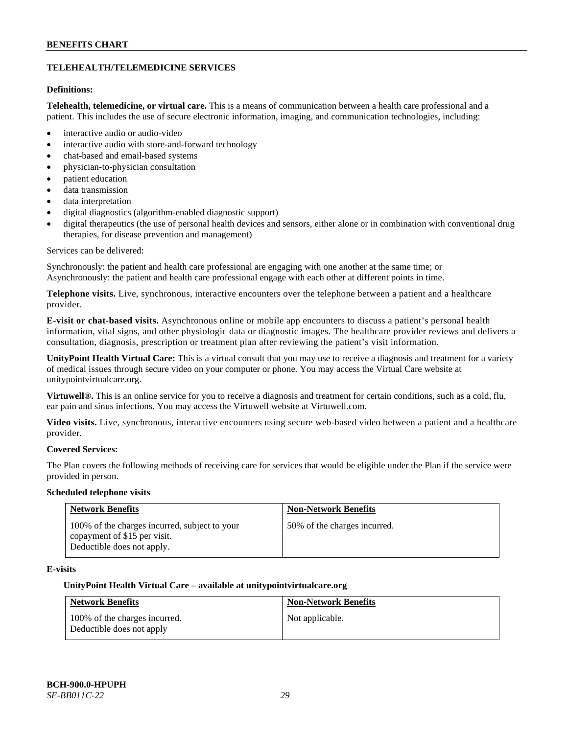### **TELEHEALTH/TELEMEDICINE SERVICES**

### **Definitions:**

**Telehealth, telemedicine, or virtual care.** This is a means of communication between a health care professional and a patient. This includes the use of secure electronic information, imaging, and communication technologies, including:

- interactive audio or audio-video
- interactive audio with store-and-forward technology
- chat-based and email-based systems
- physician-to-physician consultation
- patient education
- data transmission
- data interpretation
- digital diagnostics (algorithm-enabled diagnostic support)
- digital therapeutics (the use of personal health devices and sensors, either alone or in combination with conventional drug therapies, for disease prevention and management)

#### Services can be delivered:

Synchronously: the patient and health care professional are engaging with one another at the same time; or Asynchronously: the patient and health care professional engage with each other at different points in time.

**Telephone visits.** Live, synchronous, interactive encounters over the telephone between a patient and a healthcare provider.

**E-visit or chat-based visits.** Asynchronous online or mobile app encounters to discuss a patient's personal health information, vital signs, and other physiologic data or diagnostic images. The healthcare provider reviews and delivers a consultation, diagnosis, prescription or treatment plan after reviewing the patient's visit information.

**UnityPoint Health Virtual Care:** This is a virtual consult that you may use to receive a diagnosis and treatment for a variety of medical issues through secure video on your computer or phone. You may access the Virtual Care website at [unitypointvirtualcare.org.](https://unitypointvirtualcare.org/landing.htm)

**Virtuwell®.** This is an online service for you to receive a diagnosis and treatment for certain conditions, such as a cold, flu, ear pain and sinus infections. You may access the Virtuwell website at [Virtuwell.com.](https://www.virtuwell.com/)

**Video visits.** Live, synchronous, interactive encounters using secure web-based video between a patient and a healthcare provider.

### **Covered Services:**

The Plan covers the following methods of receiving care for services that would be eligible under the Plan if the service were provided in person.

#### **Scheduled telephone visits**

| <b>Network Benefits</b>                                                                                     | <b>Non-Network Benefits</b>  |
|-------------------------------------------------------------------------------------------------------------|------------------------------|
| 100% of the charges incurred, subject to your<br>copayment of \$15 per visit.<br>Deductible does not apply. | 50% of the charges incurred. |

### **E-visits**

#### **UnityPoint Health Virtual Care – available a[t unitypointvirtualcare.org](http://www.unitypointvirtualcare.org/)**

| <b>Network Benefits</b>                                    | <b>Non-Network Benefits</b> |
|------------------------------------------------------------|-----------------------------|
| 100% of the charges incurred.<br>Deductible does not apply | Not applicable.             |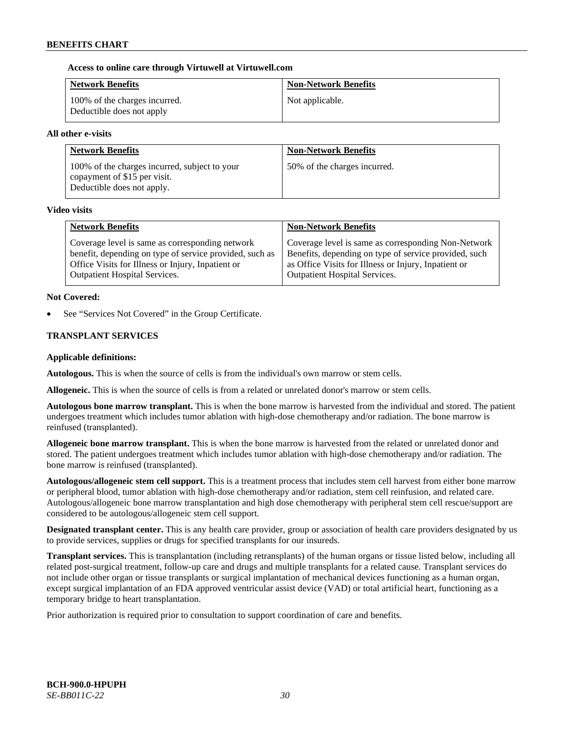### **Access to online care through Virtuwell at [Virtuwell.com](http://www.virtuwell.com/)**

| <b>Network Benefits</b>                                    | <b>Non-Network Benefits</b> |
|------------------------------------------------------------|-----------------------------|
| 100% of the charges incurred.<br>Deductible does not apply | Not applicable.             |

### **All other e-visits**

| <b>Network Benefits</b>                                                                                     | <b>Non-Network Benefits</b>  |
|-------------------------------------------------------------------------------------------------------------|------------------------------|
| 100% of the charges incurred, subject to your<br>copayment of \$15 per visit.<br>Deductible does not apply. | 50% of the charges incurred. |

#### **Video visits**

| <b>Network Benefits</b>                                 | <b>Non-Network Benefits</b>                           |
|---------------------------------------------------------|-------------------------------------------------------|
| Coverage level is same as corresponding network         | Coverage level is same as corresponding Non-Network   |
| benefit, depending on type of service provided, such as | Benefits, depending on type of service provided, such |
| Office Visits for Illness or Injury, Inpatient or       | as Office Visits for Illness or Injury, Inpatient or  |
| <b>Outpatient Hospital Services.</b>                    | <b>Outpatient Hospital Services.</b>                  |

### **Not Covered:**

See "Services Not Covered" in the Group Certificate.

### **TRANSPLANT SERVICES**

### **Applicable definitions:**

**Autologous.** This is when the source of cells is from the individual's own marrow or stem cells.

**Allogeneic.** This is when the source of cells is from a related or unrelated donor's marrow or stem cells.

**Autologous bone marrow transplant.** This is when the bone marrow is harvested from the individual and stored. The patient undergoes treatment which includes tumor ablation with high-dose chemotherapy and/or radiation. The bone marrow is reinfused (transplanted).

**Allogeneic bone marrow transplant.** This is when the bone marrow is harvested from the related or unrelated donor and stored. The patient undergoes treatment which includes tumor ablation with high-dose chemotherapy and/or radiation. The bone marrow is reinfused (transplanted).

**Autologous/allogeneic stem cell support.** This is a treatment process that includes stem cell harvest from either bone marrow or peripheral blood, tumor ablation with high-dose chemotherapy and/or radiation, stem cell reinfusion, and related care. Autologous/allogeneic bone marrow transplantation and high dose chemotherapy with peripheral stem cell rescue/support are considered to be autologous/allogeneic stem cell support.

**Designated transplant center.** This is any health care provider, group or association of health care providers designated by us to provide services, supplies or drugs for specified transplants for our insureds.

**Transplant services.** This is transplantation (including retransplants) of the human organs or tissue listed below, including all related post-surgical treatment, follow-up care and drugs and multiple transplants for a related cause. Transplant services do not include other organ or tissue transplants or surgical implantation of mechanical devices functioning as a human organ, except surgical implantation of an FDA approved ventricular assist device (VAD) or total artificial heart, functioning as a temporary bridge to heart transplantation.

Prior authorization is required prior to consultation to support coordination of care and benefits.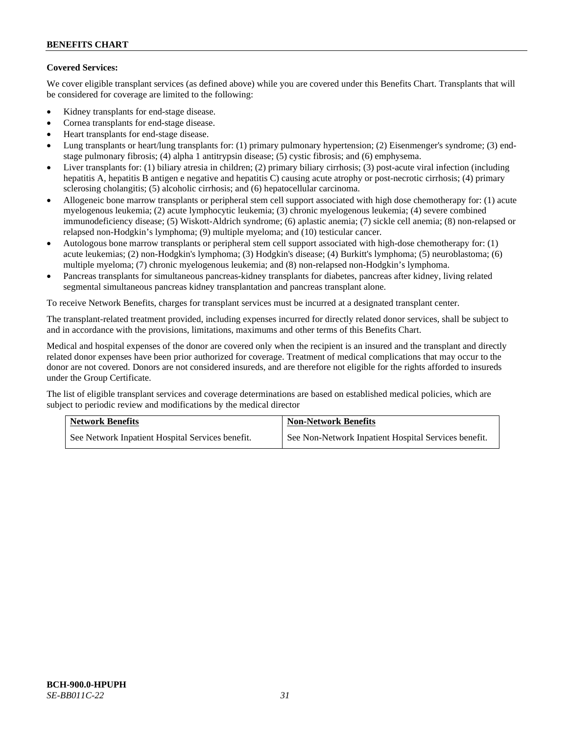# **Covered Services:**

We cover eligible transplant services (as defined above) while you are covered under this Benefits Chart. Transplants that will be considered for coverage are limited to the following:

- Kidney transplants for end-stage disease.
- Cornea transplants for end-stage disease.
- Heart transplants for end-stage disease.
- Lung transplants or heart/lung transplants for: (1) primary pulmonary hypertension; (2) Eisenmenger's syndrome; (3) endstage pulmonary fibrosis; (4) alpha 1 antitrypsin disease; (5) cystic fibrosis; and (6) emphysema.
- Liver transplants for: (1) biliary atresia in children; (2) primary biliary cirrhosis; (3) post-acute viral infection (including hepatitis A, hepatitis B antigen e negative and hepatitis C) causing acute atrophy or post-necrotic cirrhosis; (4) primary sclerosing cholangitis; (5) alcoholic cirrhosis; and (6) hepatocellular carcinoma.
- Allogeneic bone marrow transplants or peripheral stem cell support associated with high dose chemotherapy for: (1) acute myelogenous leukemia; (2) acute lymphocytic leukemia; (3) chronic myelogenous leukemia; (4) severe combined immunodeficiency disease; (5) Wiskott-Aldrich syndrome; (6) aplastic anemia; (7) sickle cell anemia; (8) non-relapsed or relapsed non-Hodgkin's lymphoma; (9) multiple myeloma; and (10) testicular cancer.
- Autologous bone marrow transplants or peripheral stem cell support associated with high-dose chemotherapy for: (1) acute leukemias; (2) non-Hodgkin's lymphoma; (3) Hodgkin's disease; (4) Burkitt's lymphoma; (5) neuroblastoma; (6) multiple myeloma; (7) chronic myelogenous leukemia; and (8) non-relapsed non-Hodgkin's lymphoma.
- Pancreas transplants for simultaneous pancreas-kidney transplants for diabetes, pancreas after kidney, living related segmental simultaneous pancreas kidney transplantation and pancreas transplant alone.

To receive Network Benefits, charges for transplant services must be incurred at a designated transplant center.

The transplant-related treatment provided, including expenses incurred for directly related donor services, shall be subject to and in accordance with the provisions, limitations, maximums and other terms of this Benefits Chart.

Medical and hospital expenses of the donor are covered only when the recipient is an insured and the transplant and directly related donor expenses have been prior authorized for coverage. Treatment of medical complications that may occur to the donor are not covered. Donors are not considered insureds, and are therefore not eligible for the rights afforded to insureds under the Group Certificate.

The list of eligible transplant services and coverage determinations are based on established medical policies, which are subject to periodic review and modifications by the medical director

| <b>Network Benefits</b>                          | <b>Non-Network Benefits</b>                          |
|--------------------------------------------------|------------------------------------------------------|
| See Network Inpatient Hospital Services benefit. | See Non-Network Inpatient Hospital Services benefit. |